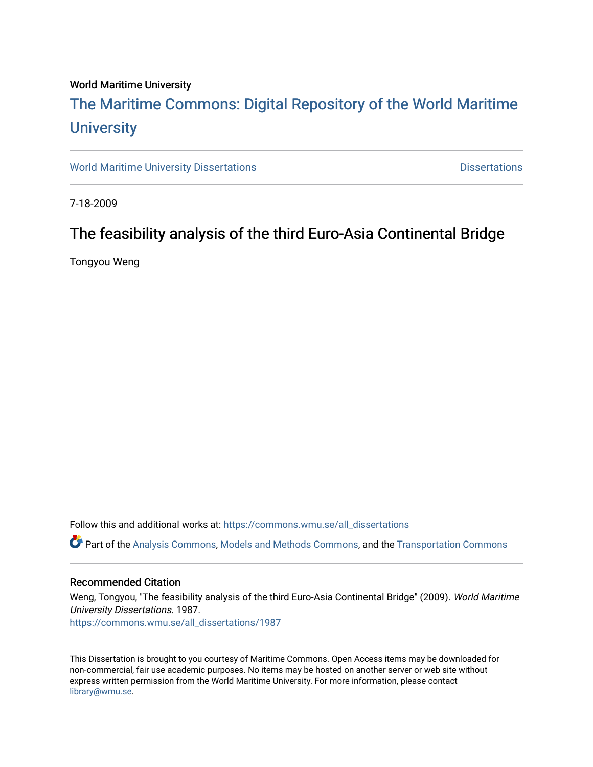# World Maritime University

# [The Maritime Commons: Digital Repository of the World Maritime](https://commons.wmu.se/)  **University**

[World Maritime University Dissertations](https://commons.wmu.se/all_dissertations) **Example 20 and Taylor 10 and Taylor** Dissertations

7-18-2009

# The feasibility analysis of the third Euro-Asia Continental Bridge

Tongyou Weng

Follow this and additional works at: [https://commons.wmu.se/all\\_dissertations](https://commons.wmu.se/all_dissertations?utm_source=commons.wmu.se%2Fall_dissertations%2F1987&utm_medium=PDF&utm_campaign=PDFCoverPages) 

Part of the [Analysis Commons](http://network.bepress.com/hgg/discipline/177?utm_source=commons.wmu.se%2Fall_dissertations%2F1987&utm_medium=PDF&utm_campaign=PDFCoverPages), [Models and Methods Commons](http://network.bepress.com/hgg/discipline/390?utm_source=commons.wmu.se%2Fall_dissertations%2F1987&utm_medium=PDF&utm_campaign=PDFCoverPages), and the [Transportation Commons](http://network.bepress.com/hgg/discipline/1068?utm_source=commons.wmu.se%2Fall_dissertations%2F1987&utm_medium=PDF&utm_campaign=PDFCoverPages)

# Recommended Citation

Weng, Tongyou, "The feasibility analysis of the third Euro-Asia Continental Bridge" (2009). World Maritime University Dissertations. 1987. [https://commons.wmu.se/all\\_dissertations/1987](https://commons.wmu.se/all_dissertations/1987?utm_source=commons.wmu.se%2Fall_dissertations%2F1987&utm_medium=PDF&utm_campaign=PDFCoverPages)

This Dissertation is brought to you courtesy of Maritime Commons. Open Access items may be downloaded for non-commercial, fair use academic purposes. No items may be hosted on another server or web site without express written permission from the World Maritime University. For more information, please contact [library@wmu.se](mailto:library@wmu.edu).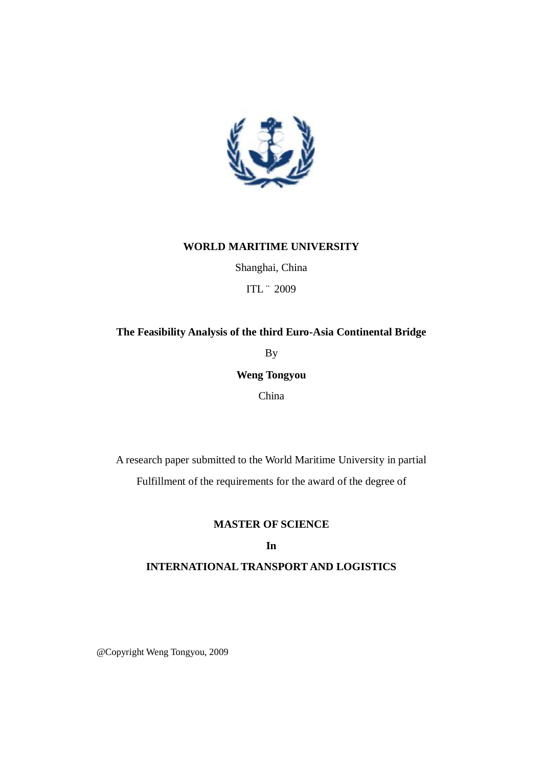

# **WORLD MARITIME UNIVERSITY**

Shanghai, China ITL ¨ 2009

# **The Feasibility Analysis of the third Euro-Asia Continental Bridge**

By

**Weng Tongyou**

China

A research paper submitted to the World Maritime University in partial Fulfillment of the requirements for the award of the degree of

# **MASTER OF SCIENCE**

# **In**

# **INTERNATIONAL TRANSPORT AND LOGISTICS**

@Copyright Weng Tongyou, 2009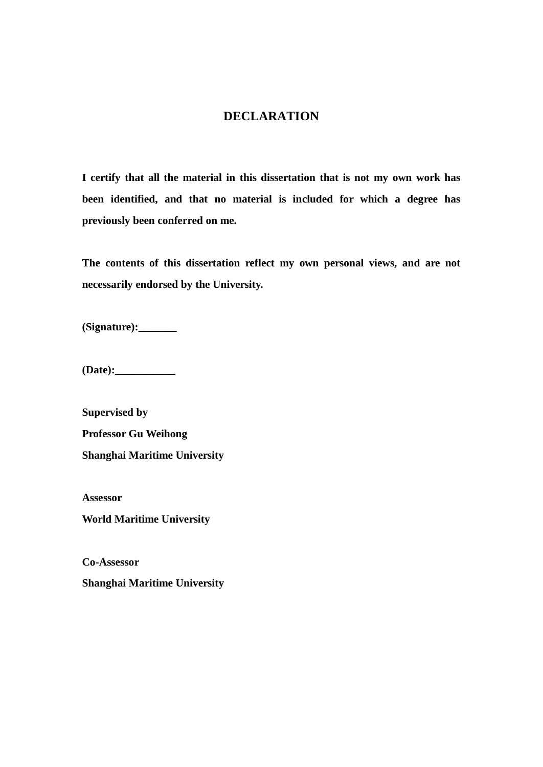# **DECLARATION**

**I certify that all the material in this dissertation that is not my own work has been identified, and that no material is included for which a degree has previously been conferred on me.** 

**The contents of this dissertation reflect my own personal views, and are not necessarily endorsed by the University.** 

**(Signature):\_\_\_\_\_\_\_** 

**(Date):\_\_\_\_\_\_\_\_\_\_\_** 

**Supervised by Professor Gu Weihong Shanghai Maritime University** 

**Assessor** 

**World Maritime University** 

**Co-Assessor** 

**Shanghai Maritime University**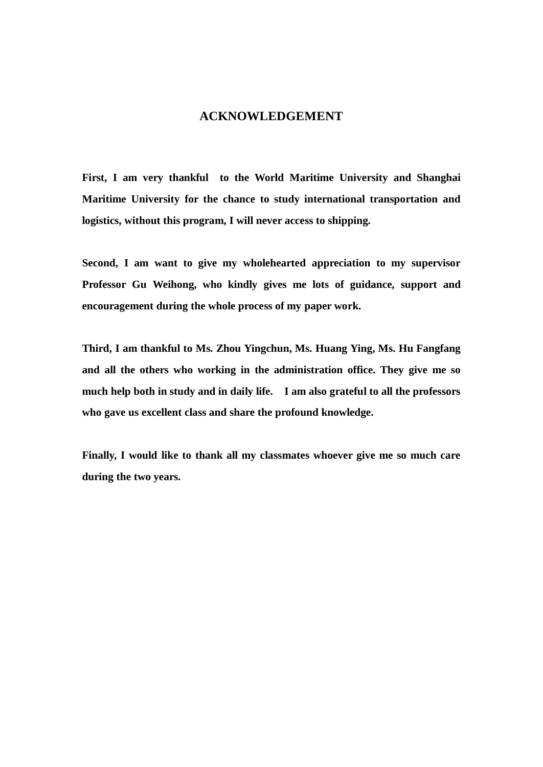# **ACKNOWLEDGEMENT**

**First, I am very thankful to the World Maritime University and Shanghai Maritime University for the chance to study international transportation and logistics, without this program, I will never access to shipping.** 

**Second, I am want to give my wholehearted appreciation to my supervisor Professor Gu Weihong, who kindly gives me lots of guidance, support and encouragement during the whole process of my paper work.** 

**Third, I am thankful to Ms. Zhou Yingchun, Ms. Huang Ying, Ms. Hu Fangfang and all the others who working in the administration office. They give me so much help both in study and in daily life. I am also grateful to all the professors who gave us excellent class and share the profound knowledge.** 

**Finally, I would like to thank all my classmates whoever give me so much care during the two years.**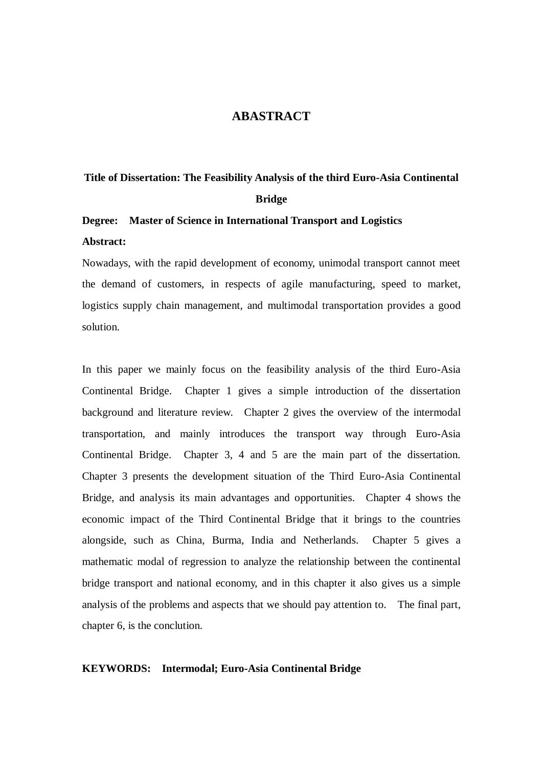# **ABASTRACT**

# **Title of Dissertation: The Feasibility Analysis of the third Euro-Asia Continental Bridge**

# **Degree: Master of Science in International Transport and Logistics Abstract:**

Nowadays, with the rapid development of economy, unimodal transport cannot meet the demand of customers, in respects of agile manufacturing, speed to market, logistics supply chain management, and multimodal transportation provides a good solution.

In this paper we mainly focus on the feasibility analysis of the third Euro-Asia Continental Bridge. Chapter 1 gives a simple introduction of the dissertation background and literature review. Chapter 2 gives the overview of the intermodal transportation, and mainly introduces the transport way through Euro-Asia Continental Bridge. Chapter 3, 4 and 5 are the main part of the dissertation. Chapter 3 presents the development situation of the Third Euro-Asia Continental Bridge, and analysis its main advantages and opportunities. Chapter 4 shows the economic impact of the Third Continental Bridge that it brings to the countries alongside, such as China, Burma, India and Netherlands. Chapter 5 gives a mathematic modal of regression to analyze the relationship between the continental bridge transport and national economy, and in this chapter it also gives us a simple analysis of the problems and aspects that we should pay attention to. The final part, chapter 6, is the conclution.

## **KEYWORDS: Intermodal; Euro-Asia Continental Bridge**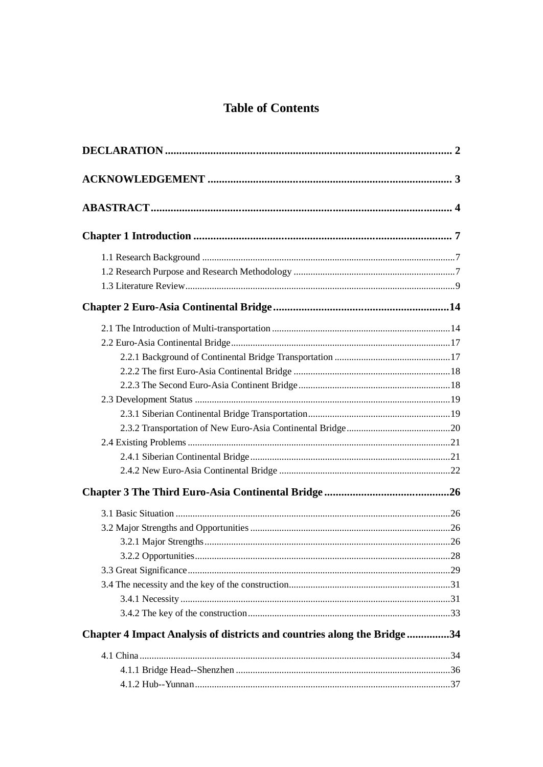# **Table of Contents**

| Chapter 4 Impact Analysis of districts and countries along the Bridge34 |  |
|-------------------------------------------------------------------------|--|
|                                                                         |  |
|                                                                         |  |
|                                                                         |  |
|                                                                         |  |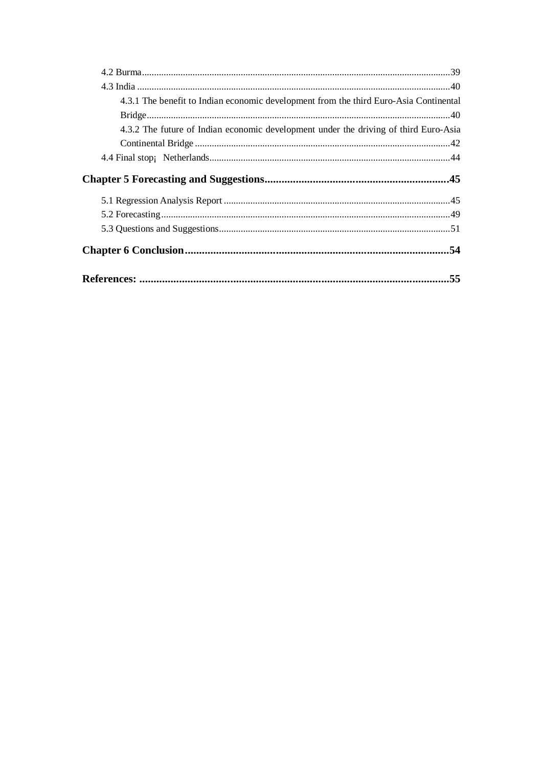| 4.3.1 The benefit to Indian economic development from the third Euro-Asia Continental |     |
|---------------------------------------------------------------------------------------|-----|
|                                                                                       |     |
| 4.3.2 The future of Indian economic development under the driving of third Euro-Asia  |     |
|                                                                                       |     |
|                                                                                       |     |
|                                                                                       |     |
|                                                                                       |     |
|                                                                                       |     |
|                                                                                       |     |
|                                                                                       |     |
|                                                                                       | .55 |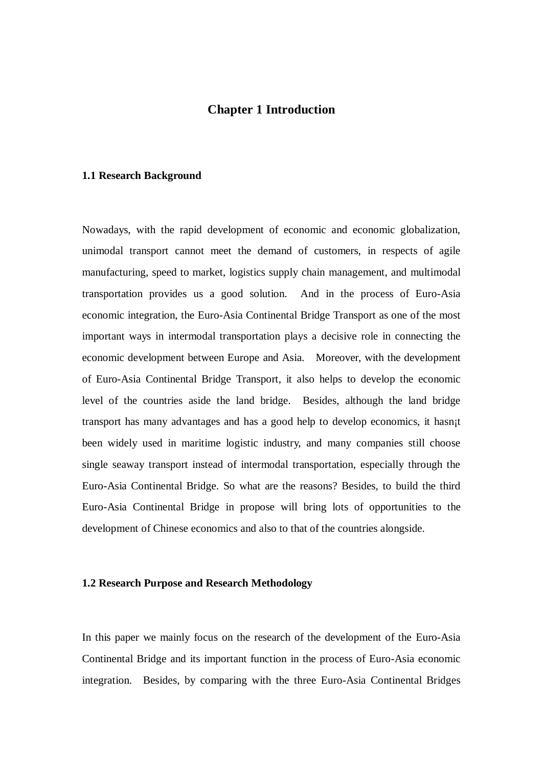# **Chapter 1 Introduction**

#### **1.1 Research Background**

Nowadays, with the rapid development of economic and economic globalization, unimodal transport cannot meet the demand of customers, in respects of agile manufacturing, speed to market, logistics supply chain management, and multimodal transportation provides us a good solution. And in the process of Euro-Asia economic integration, the Euro-Asia Continental Bridge Transport as one of the most important ways in intermodal transportation plays a decisive role in connecting the economic development between Europe and Asia. Moreover, with the development of Euro-Asia Continental Bridge Transport, it also helps to develop the economic level of the countries aside the land bridge. Besides, although the land bridge transport has many advantages and has a good help to develop economics, it hasn¡t been widely used in maritime logistic industry, and many companies still choose single seaway transport instead of intermodal transportation, especially through the Euro-Asia Continental Bridge. So what are the reasons? Besides, to build the third Euro-Asia Continental Bridge in propose will bring lots of opportunities to the development of Chinese economics and also to that of the countries alongside.

### **1.2 Research Purpose and Research Methodology**

In this paper we mainly focus on the research of the development of the Euro-Asia Continental Bridge and its important function in the process of Euro-Asia economic integration. Besides, by comparing with the three Euro-Asia Continental Bridges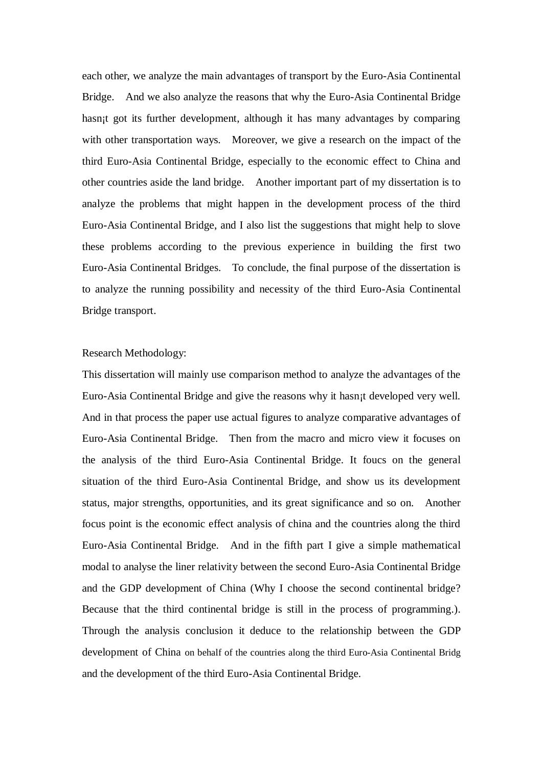each other, we analyze the main advantages of transport by the Euro-Asia Continental Bridge. And we also analyze the reasons that why the Euro-Asia Continental Bridge hasn<sub>it</sub> got its further development, although it has many advantages by comparing with other transportation ways. Moreover, we give a research on the impact of the third Euro-Asia Continental Bridge, especially to the economic effect to China and other countries aside the land bridge. Another important part of my dissertation is to analyze the problems that might happen in the development process of the third Euro-Asia Continental Bridge, and I also list the suggestions that might help to slove these problems according to the previous experience in building the first two Euro-Asia Continental Bridges. To conclude, the final purpose of the dissertation is to analyze the running possibility and necessity of the third Euro-Asia Continental Bridge transport.

## Research Methodology:

This dissertation will mainly use comparison method to analyze the advantages of the Euro-Asia Continental Bridge and give the reasons why it hasn¡t developed very well. And in that process the paper use actual figures to analyze comparative advantages of Euro-Asia Continental Bridge. Then from the macro and micro view it focuses on the analysis of the third Euro-Asia Continental Bridge. It foucs on the general situation of the third Euro-Asia Continental Bridge, and show us its development status, major strengths, opportunities, and its great significance and so on. Another focus point is the economic effect analysis of china and the countries along the third Euro-Asia Continental Bridge. And in the fifth part I give a simple mathematical modal to analyse the liner relativity between the second Euro-Asia Continental Bridge and the GDP development of China (Why I choose the second continental bridge? Because that the third continental bridge is still in the process of programming.). Through the analysis conclusion it deduce to the relationship between the GDP development of China on behalf of the countries along the third Euro-Asia Continental Bridg and the development of the third Euro-Asia Continental Bridge.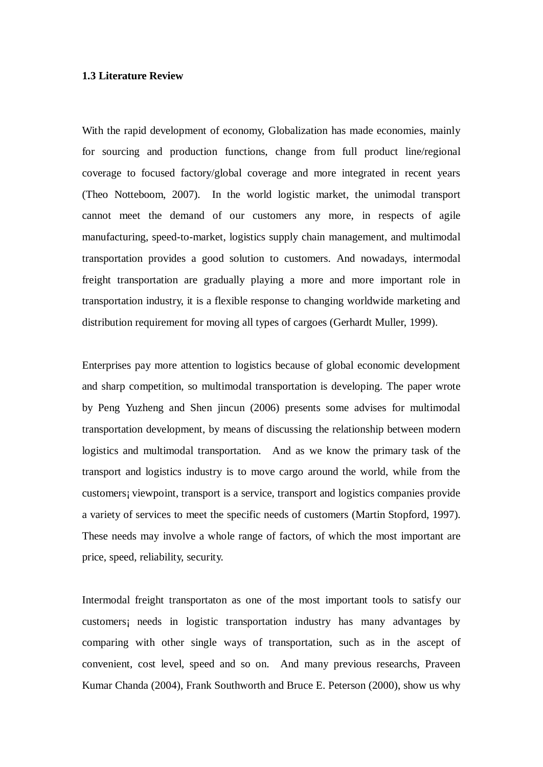### **1.3 Literature Review**

With the rapid development of economy, Globalization has made economies, mainly for sourcing and production functions, change from full product line/regional coverage to focused factory/global coverage and more integrated in recent years (Theo Notteboom, 2007). In the world logistic market, the unimodal transport cannot meet the demand of our customers any more, in respects of agile manufacturing, speed-to-market, logistics supply chain management, and multimodal transportation provides a good solution to customers. And nowadays, intermodal freight transportation are gradually playing a more and more important role in transportation industry, it is a flexible response to changing worldwide marketing and distribution requirement for moving all types of cargoes (Gerhardt Muller, 1999).

Enterprises pay more attention to logistics because of global economic development and sharp competition, so multimodal transportation is developing. The paper wrote by Peng Yuzheng and Shen jincun (2006) presents some advises for multimodal transportation development, by means of discussing the relationship between modern logistics and multimodal transportation. And as we know the primary task of the transport and logistics industry is to move cargo around the world, while from the customers¡ viewpoint, transport is a service, transport and logistics companies provide a variety of services to meet the specific needs of customers (Martin Stopford, 1997). These needs may involve a whole range of factors, of which the most important are price, speed, reliability, security.

Intermodal freight transportaton as one of the most important tools to satisfy our customers¡ needs in logistic transportation industry has many advantages by comparing with other single ways of transportation, such as in the ascept of convenient, cost level, speed and so on. And many previous researchs, Praveen Kumar Chanda (2004), Frank Southworth and Bruce E. Peterson (2000), show us why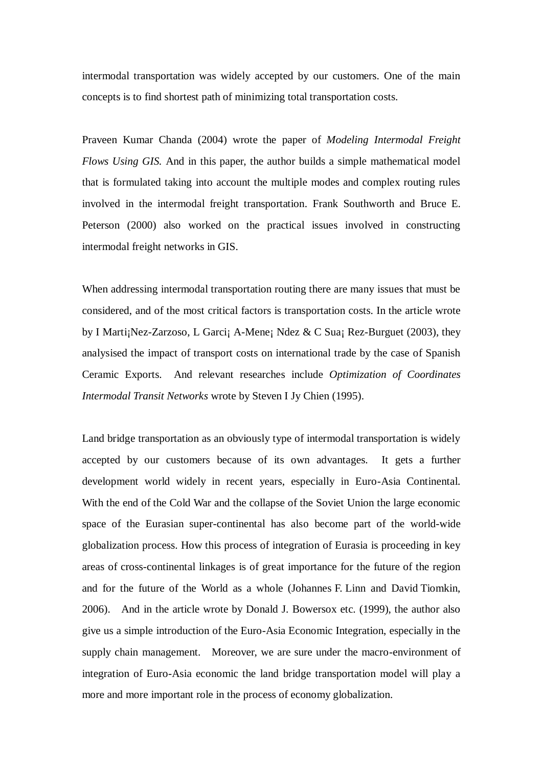intermodal transportation was widely accepted by our customers. One of the main concepts is to find shortest path of minimizing total transportation costs.

Praveen Kumar Chanda (2004) wrote the paper of *Modeling Intermodal Freight Flows Using GIS.* And in this paper, the author builds a simple mathematical model that is formulated taking into account the multiple modes and complex routing rules involved in the intermodal freight transportation. Frank Southworth and Bruce E. Peterson (2000) also worked on the practical issues involved in constructing intermodal freight networks in GIS.

When addressing intermodal transportation routing there are many issues that must be considered, and of the most critical factors is transportation costs. In the article wrote by I Marti¡Nez-Zarzoso, L Garci¡ A-Mene¡ Ndez & C Sua¡ Rez-Burguet (2003), they analysised the impact of transport costs on international trade by the case of Spanish Ceramic Exports. And relevant researches include *Optimization of Coordinates Intermodal Transit Networks* wrote by Steven I Jy Chien (1995).

Land bridge transportation as an obviously type of intermodal transportation is widely accepted by our customers because of its own advantages. It gets a further development world widely in recent years, especially in Euro-Asia Continental. With the end of the Cold War and the collapse of the Soviet Union the large economic space of the Eurasian super-continental has also become part of the world-wide globalization process. How this process of integration of Eurasia is proceeding in key areas of cross-continental linkages is of great importance for the future of the region and for the future of the World as a whole (Johannes F. Linn and David Tiomkin, 2006). And in the article wrote by Donald J. Bowersox etc. (1999), the author also give us a simple introduction of the Euro-Asia Economic Integration, especially in the supply chain management. Moreover, we are sure under the macro-environment of integration of Euro-Asia economic the land bridge transportation model will play a more and more important role in the process of economy globalization.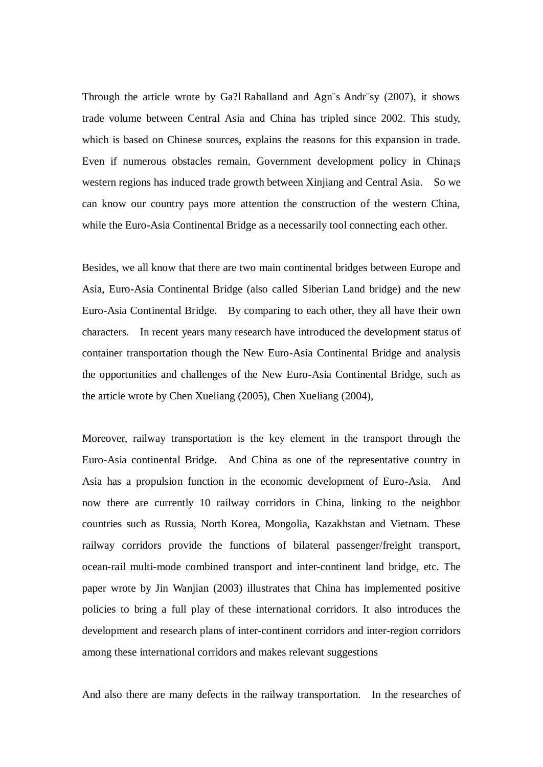Through the article wrote by Ga?l Raballand and Agn¨s Andr¨sy (2007), it shows trade volume between Central Asia and China has tripled since 2002. This study, which is based on Chinese sources, explains the reasons for this expansion in trade. Even if numerous obstacles remain, Government development policy in China¡s western regions has induced trade growth between Xinjiang and Central Asia. So we can know our country pays more attention the construction of the western China, while the Euro-Asia Continental Bridge as a necessarily tool connecting each other.

Besides, we all know that there are two main continental bridges between Europe and Asia, Euro-Asia Continental Bridge (also called Siberian Land bridge) and the new Euro-Asia Continental Bridge. By comparing to each other, they all have their own characters. In recent years many research have introduced the development status of container transportation though the New Euro-Asia Continental Bridge and analysis the opportunities and challenges of the New Euro-Asia Continental Bridge, such as the article wrote by Chen Xueliang (2005), Chen Xueliang (2004),

Moreover, railway transportation is the key element in the transport through the Euro-Asia continental Bridge. And China as one of the representative country in Asia has a propulsion function in the economic development of Euro-Asia. And now there are currently 10 railway corridors in China, linking to the neighbor countries such as Russia, North Korea, Mongolia, Kazakhstan and Vietnam. These railway corridors provide the functions of bilateral passenger/freight transport, ocean-rail multi-mode combined transport and inter-continent land bridge, etc. The paper wrote by Jin Wanjian (2003) illustrates that China has implemented positive policies to bring a full play of these international corridors. It also introduces the development and research plans of inter-continent corridors and inter-region corridors among these international corridors and makes relevant suggestions

And also there are many defects in the railway transportation. In the researches of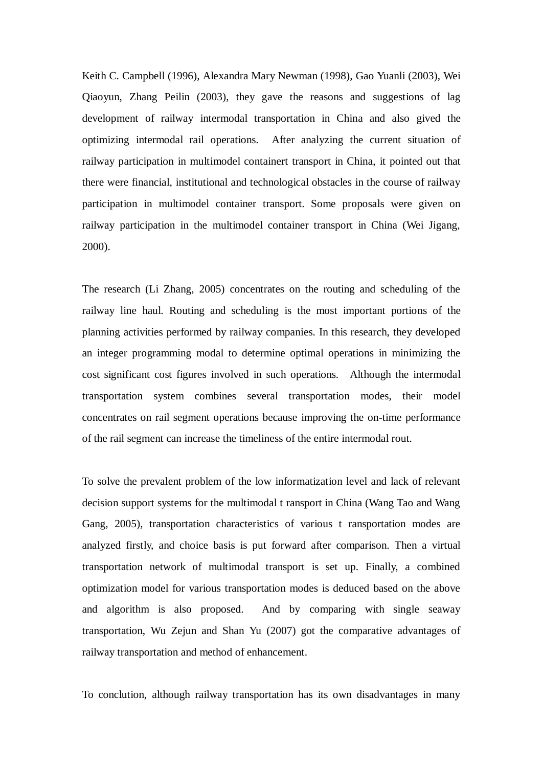Keith C. Campbell (1996), Alexandra Mary Newman (1998), Gao Yuanli (2003), Wei Qiaoyun, Zhang Peilin (2003), they gave the reasons and suggestions of lag development of railway intermodal transportation in China and also gived the optimizing intermodal rail operations. After analyzing the current situation of railway participation in multimodel containert transport in China, it pointed out that there were financial, institutional and technological obstacles in the course of railway participation in multimodel container transport. Some proposals were given on railway participation in the multimodel container transport in China (Wei Jigang, 2000).

The research (Li Zhang, 2005) concentrates on the routing and scheduling of the railway line haul. Routing and scheduling is the most important portions of the planning activities performed by railway companies. In this research, they developed an integer programming modal to determine optimal operations in minimizing the cost significant cost figures involved in such operations. Although the intermodal transportation system combines several transportation modes, their model concentrates on rail segment operations because improving the on-time performance of the rail segment can increase the timeliness of the entire intermodal rout.

To solve the prevalent problem of the low informatization level and lack of relevant decision support systems for the multimodal t ransport in China (Wang Tao and Wang Gang, 2005), transportation characteristics of various t ransportation modes are analyzed firstly, and choice basis is put forward after comparison. Then a virtual transportation network of multimodal transport is set up. Finally, a combined optimization model for various transportation modes is deduced based on the above and algorithm is also proposed. And by comparing with single seaway transportation, Wu Zejun and Shan Yu (2007) got the comparative advantages of railway transportation and method of enhancement.

To conclution, although railway transportation has its own disadvantages in many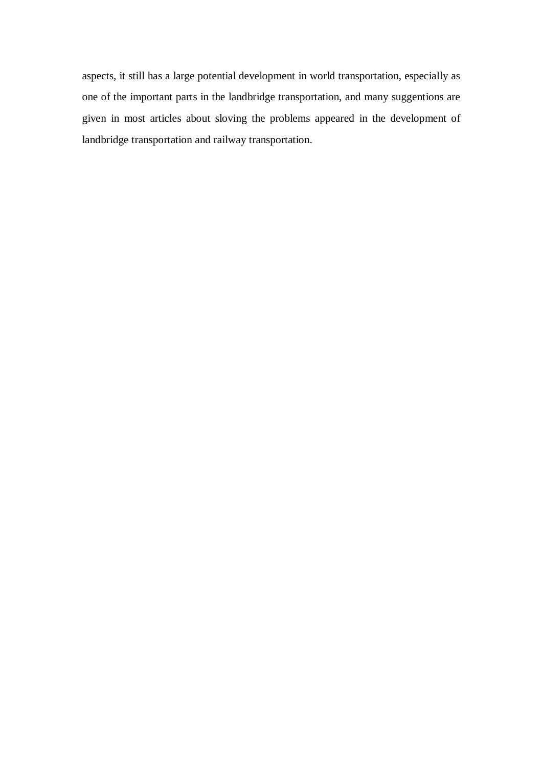aspects, it still has a large potential development in world transportation, especially as one of the important parts in the landbridge transportation, and many suggentions are given in most articles about sloving the problems appeared in the development of landbridge transportation and railway transportation.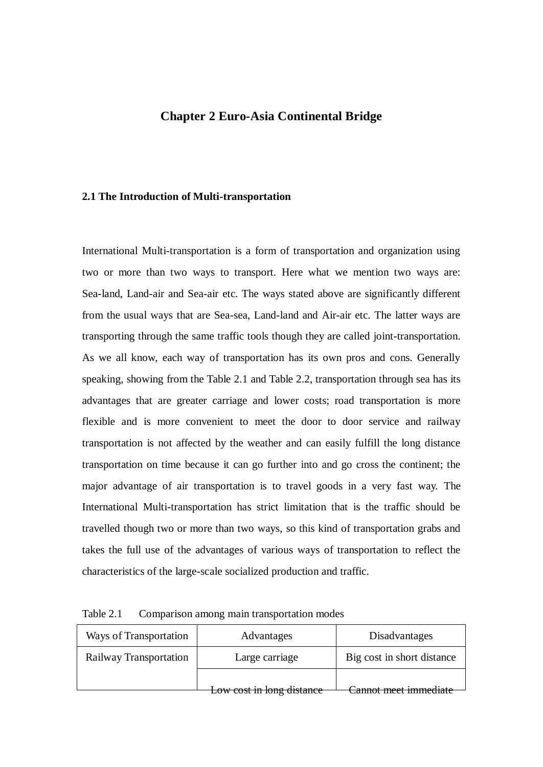# **Chapter 2 Euro-Asia Continental Bridge**

### **2.1 The Introduction of Multi-transportation**

International Multi-transportation is a form of transportation and organization using two or more than two ways to transport. Here what we mention two ways are: Sea-land, Land-air and Sea-air etc. The ways stated above are significantly different from the usual ways that are Sea-sea, Land-land and Air-air etc. The latter ways are transporting through the same traffic tools though they are called joint-transportation. As we all know, each way of transportation has its own pros and cons. Generally speaking, showing from the Table 2.1 and Table 2.2, transportation through sea has its advantages that are greater carriage and lower costs; road transportation is more flexible and is more convenient to meet the door to door service and railway transportation is not affected by the weather and can easily fulfill the long distance transportation on time because it can go further into and go cross the continent; the major advantage of air transportation is to travel goods in a very fast way. The International Multi-transportation has strict limitation that is the traffic should be travelled though two or more than two ways, so this kind of transportation grabs and takes the full use of the advantages of various ways of transportation to reflect the characteristics of the large-scale socialized production and traffic.

| Ways of Transportation                   | Advantages                | Disadvantages              |
|------------------------------------------|---------------------------|----------------------------|
| Railway Transportation<br>Large carriage |                           | Big cost in short distance |
|                                          |                           | annot meet immediate       |
|                                          | Low cost in long distance |                            |

| Table 2.1 |                                            |  |  |  |
|-----------|--------------------------------------------|--|--|--|
|           | Comparison among main transportation modes |  |  |  |
|           |                                            |  |  |  |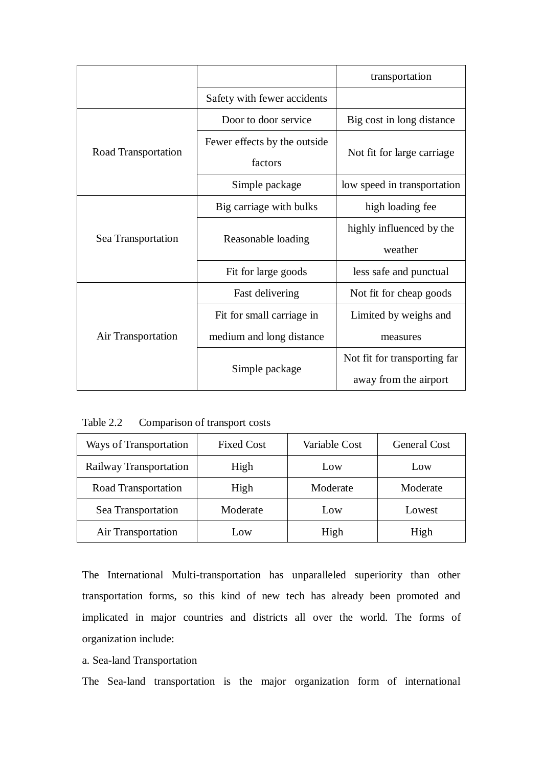|                     |                                         | transportation               |
|---------------------|-----------------------------------------|------------------------------|
|                     | Safety with fewer accidents             |                              |
|                     | Door to door service                    | Big cost in long distance    |
| Road Transportation | Fewer effects by the outside<br>factors | Not fit for large carriage   |
|                     | Simple package                          | low speed in transportation  |
|                     | Big carriage with bulks                 | high loading fee             |
|                     |                                         | highly influenced by the     |
| Sea Transportation  | Reasonable loading                      | weather                      |
|                     | Fit for large goods                     | less safe and punctual       |
|                     | Fast delivering                         | Not fit for cheap goods      |
|                     | Fit for small carriage in               | Limited by weighs and        |
| Air Transportation  | medium and long distance                | measures                     |
|                     |                                         | Not fit for transporting far |
|                     | Simple package                          | away from the airport        |

Table 2.2 Comparison of transport costs

| Ways of Transportation | <b>Fixed Cost</b> | Variable Cost | <b>General Cost</b> |
|------------------------|-------------------|---------------|---------------------|
| Railway Transportation | High              | Low           | Low                 |
| Road Transportation    | High              | Moderate      | Moderate            |
| Sea Transportation     | Moderate          | Low           | Lowest              |
| Air Transportation     | Low               | High          | High                |

The International Multi-transportation has unparalleled superiority than other transportation forms, so this kind of new tech has already been promoted and implicated in major countries and districts all over the world. The forms of organization include:

# a. Sea-land Transportation

The Sea-land transportation is the major organization form of international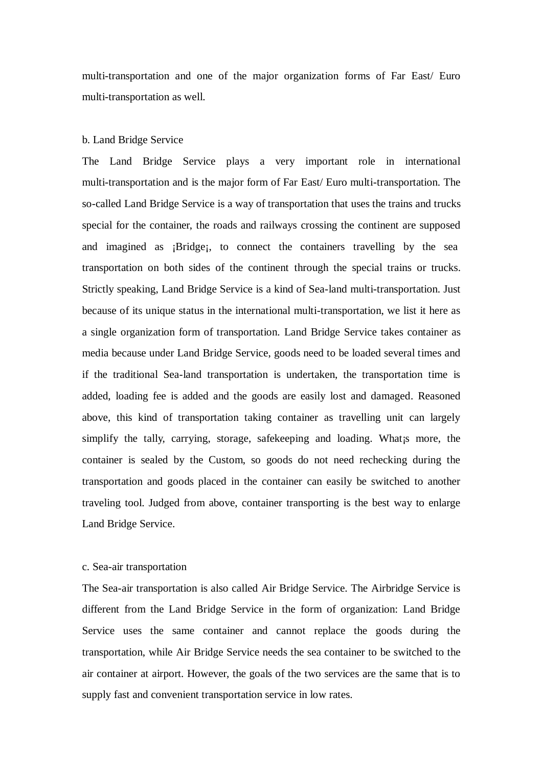multi-transportation and one of the major organization forms of Far East/ Euro multi-transportation as well.

#### b. Land Bridge Service

The Land Bridge Service plays a very important role in international multi-transportation and is the major form of Far East/ Euro multi-transportation. The so-called Land Bridge Service is a way of transportation that uses the trains and trucks special for the container, the roads and railways crossing the continent are supposed and imagined as ¡Bridge¡, to connect the containers travelling by the sea transportation on both sides of the continent through the special trains or trucks. Strictly speaking, Land Bridge Service is a kind of Sea-land multi-transportation. Just because of its unique status in the international multi-transportation, we list it here as a single organization form of transportation. Land Bridge Service takes container as media because under Land Bridge Service, goods need to be loaded several times and if the traditional Sea-land transportation is undertaken, the transportation time is added, loading fee is added and the goods are easily lost and damaged. Reasoned above, this kind of transportation taking container as travelling unit can largely simplify the tally, carrying, storage, safekeeping and loading. What is more, the container is sealed by the Custom, so goods do not need rechecking during the transportation and goods placed in the container can easily be switched to another traveling tool. Judged from above, container transporting is the best way to enlarge Land Bridge Service.

### c. Sea-air transportation

The Sea-air transportation is also called Air Bridge Service. The Airbridge Service is different from the Land Bridge Service in the form of organization: Land Bridge Service uses the same container and cannot replace the goods during the transportation, while Air Bridge Service needs the sea container to be switched to the air container at airport. However, the goals of the two services are the same that is to supply fast and convenient transportation service in low rates.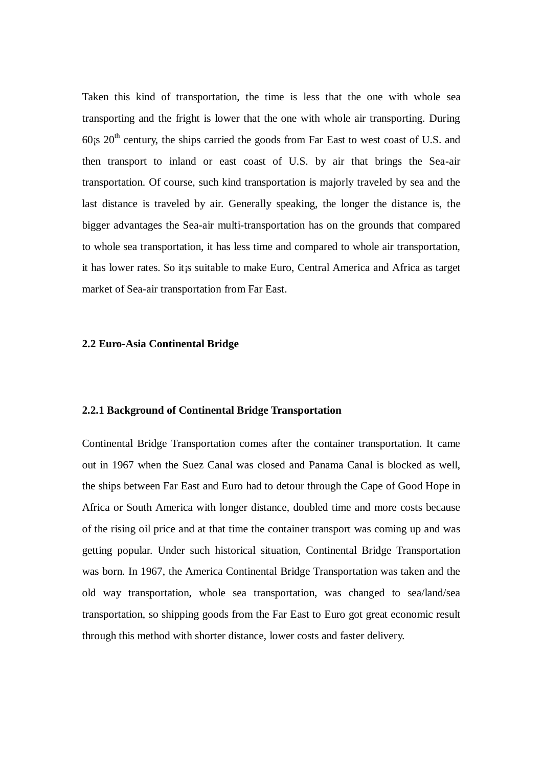Taken this kind of transportation, the time is less that the one with whole sea transporting and the fright is lower that the one with whole air transporting. During  $60$ <sub>i</sub>s  $20<sup>th</sup>$  century, the ships carried the goods from Far East to west coast of U.S. and then transport to inland or east coast of U.S. by air that brings the Sea-air transportation. Of course, such kind transportation is majorly traveled by sea and the last distance is traveled by air. Generally speaking, the longer the distance is, the bigger advantages the Sea-air multi-transportation has on the grounds that compared to whole sea transportation, it has less time and compared to whole air transportation, it has lower rates. So it¡s suitable to make Euro, Central America and Africa as target market of Sea-air transportation from Far East.

#### **2.2 Euro-Asia Continental Bridge**

## **2.2.1 Background of Continental Bridge Transportation**

Continental Bridge Transportation comes after the container transportation. It came out in 1967 when the Suez Canal was closed and Panama Canal is blocked as well, the ships between Far East and Euro had to detour through the Cape of Good Hope in Africa or South America with longer distance, doubled time and more costs because of the rising oil price and at that time the container transport was coming up and was getting popular. Under such historical situation, Continental Bridge Transportation was born. In 1967, the America Continental Bridge Transportation was taken and the old way transportation, whole sea transportation, was changed to sea/land/sea transportation, so shipping goods from the Far East to Euro got great economic result through this method with shorter distance, lower costs and faster delivery.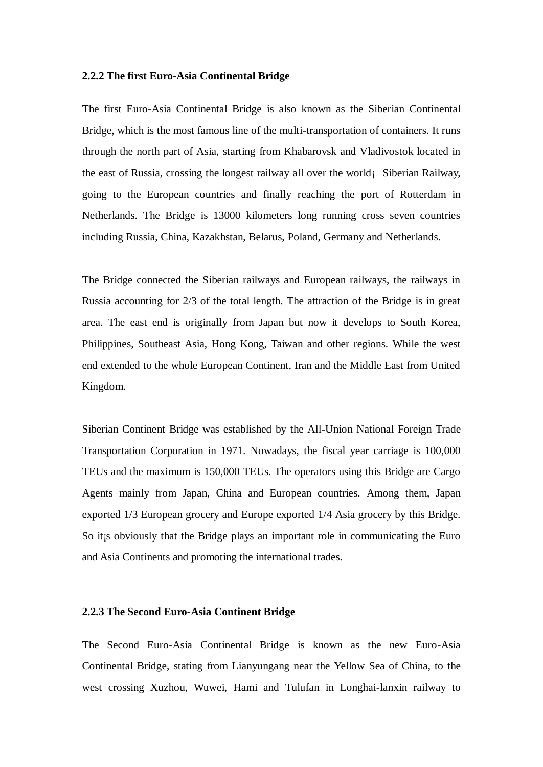#### **2.2.2 The first Euro-Asia Continental Bridge**

The first Euro-Asia Continental Bridge is also known as the Siberian Continental Bridge, which is the most famous line of the multi-transportation of containers. It runs through the north part of Asia, starting from Khabarovsk and Vladivostok located in the east of Russia, crossing the longest railway all over the world¡ Siberian Railway, going to the European countries and finally reaching the port of Rotterdam in Netherlands. The Bridge is 13000 kilometers long running cross seven countries including Russia, China, Kazakhstan, Belarus, Poland, Germany and Netherlands.

The Bridge connected the Siberian railways and European railways, the railways in Russia accounting for 2/3 of the total length. The attraction of the Bridge is in great area. The east end is originally from Japan but now it develops to South Korea, Philippines, Southeast Asia, Hong Kong, Taiwan and other regions. While the west end extended to the whole European Continent, Iran and the Middle East from United Kingdom.

Siberian Continent Bridge was established by the All-Union National Foreign Trade Transportation Corporation in 1971. Nowadays, the fiscal year carriage is 100,000 TEUs and the maximum is 150,000 TEUs. The operators using this Bridge are Cargo Agents mainly from Japan, China and European countries. Among them, Japan exported 1/3 European grocery and Europe exported 1/4 Asia grocery by this Bridge. So it<sub>is</sub> obviously that the Bridge plays an important role in communicating the Euro and Asia Continents and promoting the international trades.

## **2.2.3 The Second Euro-Asia Continent Bridge**

The Second Euro-Asia Continental Bridge is known as the new Euro-Asia Continental Bridge, stating from Lianyungang near the Yellow Sea of China, to the west crossing Xuzhou, Wuwei, Hami and Tulufan in Longhai-lanxin railway to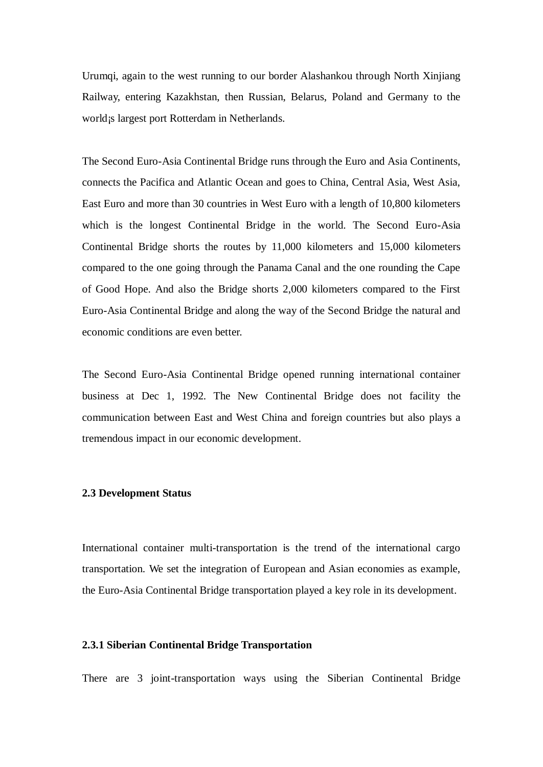Urumqi, again to the west running to our border Alashankou through North Xinjiang Railway, entering Kazakhstan, then Russian, Belarus, Poland and Germany to the world¡s largest port Rotterdam in Netherlands.

The Second Euro-Asia Continental Bridge runs through the Euro and Asia Continents, connects the Pacifica and Atlantic Ocean and goes to China, Central Asia, West Asia, East Euro and more than 30 countries in West Euro with a length of 10,800 kilometers which is the longest Continental Bridge in the world. The Second Euro-Asia Continental Bridge shorts the routes by 11,000 kilometers and 15,000 kilometers compared to the one going through the Panama Canal and the one rounding the Cape of Good Hope. And also the Bridge shorts 2,000 kilometers compared to the First Euro-Asia Continental Bridge and along the way of the Second Bridge the natural and economic conditions are even better.

The Second Euro-Asia Continental Bridge opened running international container business at Dec 1, 1992. The New Continental Bridge does not facility the communication between East and West China and foreign countries but also plays a tremendous impact in our economic development.

#### **2.3 Development Status**

International container multi-transportation is the trend of the international cargo transportation. We set the integration of European and Asian economies as example, the Euro-Asia Continental Bridge transportation played a key role in its development.

# **2.3.1 Siberian Continental Bridge Transportation**

There are 3 joint-transportation ways using the Siberian Continental Bridge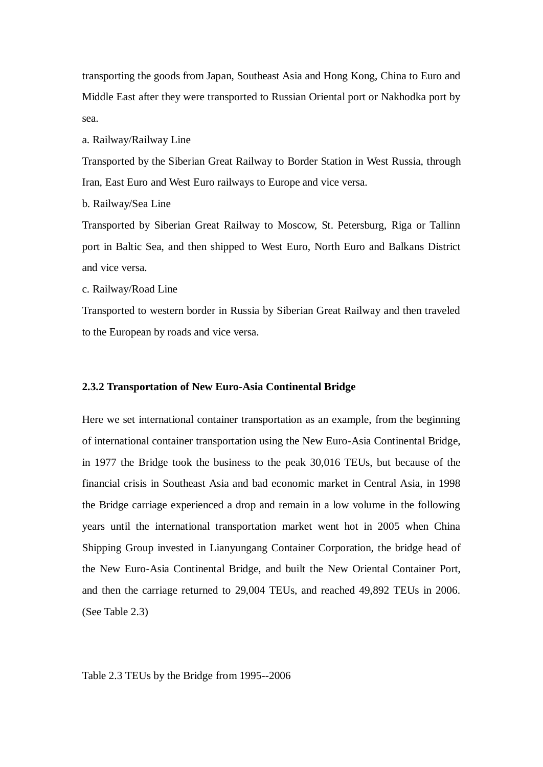transporting the goods from Japan, Southeast Asia and Hong Kong, China to Euro and Middle East after they were transported to Russian Oriental port or Nakhodka port by sea.

a. Railway/Railway Line

Transported by the Siberian Great Railway to Border Station in West Russia, through Iran, East Euro and West Euro railways to Europe and vice versa.

b. Railway/Sea Line

Transported by Siberian Great Railway to Moscow, St. Petersburg, Riga or Tallinn port in Baltic Sea, and then shipped to West Euro, North Euro and Balkans District and vice versa.

c. Railway/Road Line

Transported to western border in Russia by Siberian Great Railway and then traveled to the European by roads and vice versa.

### **2.3.2 Transportation of New Euro-Asia Continental Bridge**

Here we set international container transportation as an example, from the beginning of international container transportation using the New Euro-Asia Continental Bridge, in 1977 the Bridge took the business to the peak 30,016 TEUs, but because of the financial crisis in Southeast Asia and bad economic market in Central Asia, in 1998 the Bridge carriage experienced a drop and remain in a low volume in the following years until the international transportation market went hot in 2005 when China Shipping Group invested in Lianyungang Container Corporation, the bridge head of the New Euro-Asia Continental Bridge, and built the New Oriental Container Port, and then the carriage returned to 29,004 TEUs, and reached 49,892 TEUs in 2006. (See Table 2.3)

Table 2.3 TEUs by the Bridge from 1995--2006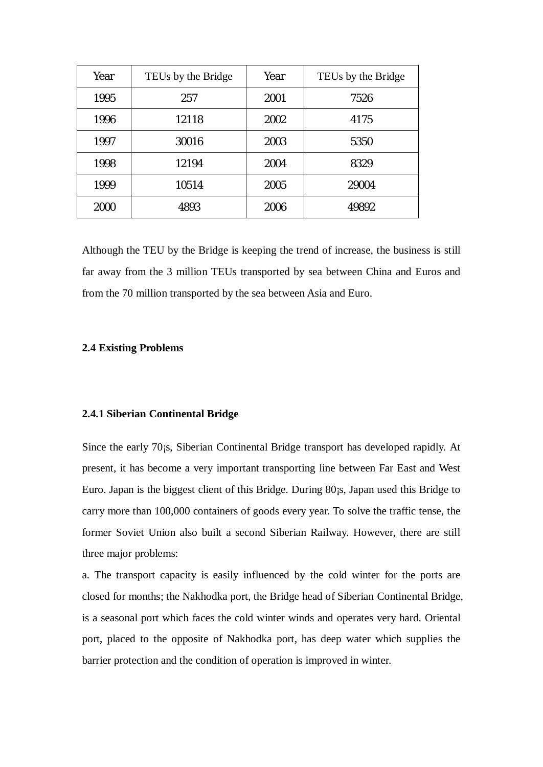| Year | TEUs by the Bridge | Year | TEUs by the Bridge |
|------|--------------------|------|--------------------|
| 1995 | 257                | 2001 | 7526               |
| 1996 | 12118              | 2002 | 4175               |
| 1997 | 30016              | 2003 | 5350               |
| 1998 | 12194              | 2004 | 8329               |
| 1999 | 10514              | 2005 | 29004              |
| 2000 | 4893               | 2006 | 49892              |

Although the TEU by the Bridge is keeping the trend of increase, the business is still far away from the 3 million TEUs transported by sea between China and Euros and from the 70 million transported by the sea between Asia and Euro.

## **2.4 Existing Problems**

### **2.4.1 Siberian Continental Bridge**

Since the early 70¡s, Siberian Continental Bridge transport has developed rapidly. At present, it has become a very important transporting line between Far East and West Euro. Japan is the biggest client of this Bridge. During 80¡s, Japan used this Bridge to carry more than 100,000 containers of goods every year. To solve the traffic tense, the former Soviet Union also built a second Siberian Railway. However, there are still three major problems:

a. The transport capacity is easily influenced by the cold winter for the ports are closed for months; the Nakhodka port, the Bridge head of Siberian Continental Bridge, is a seasonal port which faces the cold winter winds and operates very hard. Oriental port, placed to the opposite of Nakhodka port, has deep water which supplies the barrier protection and the condition of operation is improved in winter.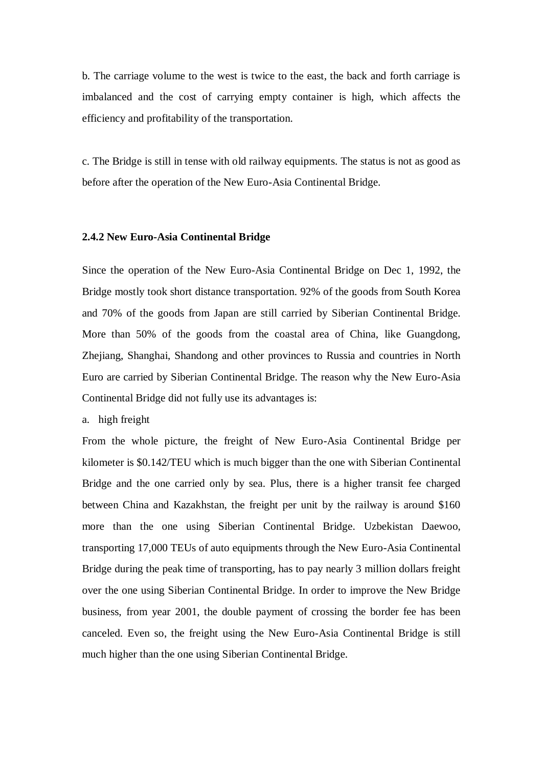b. The carriage volume to the west is twice to the east, the back and forth carriage is imbalanced and the cost of carrying empty container is high, which affects the efficiency and profitability of the transportation.

c. The Bridge is still in tense with old railway equipments. The status is not as good as before after the operation of the New Euro-Asia Continental Bridge.

## **2.4.2 New Euro-Asia Continental Bridge**

Since the operation of the New Euro-Asia Continental Bridge on Dec 1, 1992, the Bridge mostly took short distance transportation. 92% of the goods from South Korea and 70% of the goods from Japan are still carried by Siberian Continental Bridge. More than 50% of the goods from the coastal area of China, like Guangdong, Zhejiang, Shanghai, Shandong and other provinces to Russia and countries in North Euro are carried by Siberian Continental Bridge. The reason why the New Euro-Asia Continental Bridge did not fully use its advantages is:

a. high freight

From the whole picture, the freight of New Euro-Asia Continental Bridge per kilometer is \$0.142/TEU which is much bigger than the one with Siberian Continental Bridge and the one carried only by sea. Plus, there is a higher transit fee charged between China and Kazakhstan, the freight per unit by the railway is around \$160 more than the one using Siberian Continental Bridge. Uzbekistan Daewoo, transporting 17,000 TEUs of auto equipments through the New Euro-Asia Continental Bridge during the peak time of transporting, has to pay nearly 3 million dollars freight over the one using Siberian Continental Bridge. In order to improve the New Bridge business, from year 2001, the double payment of crossing the border fee has been canceled. Even so, the freight using the New Euro-Asia Continental Bridge is still much higher than the one using Siberian Continental Bridge.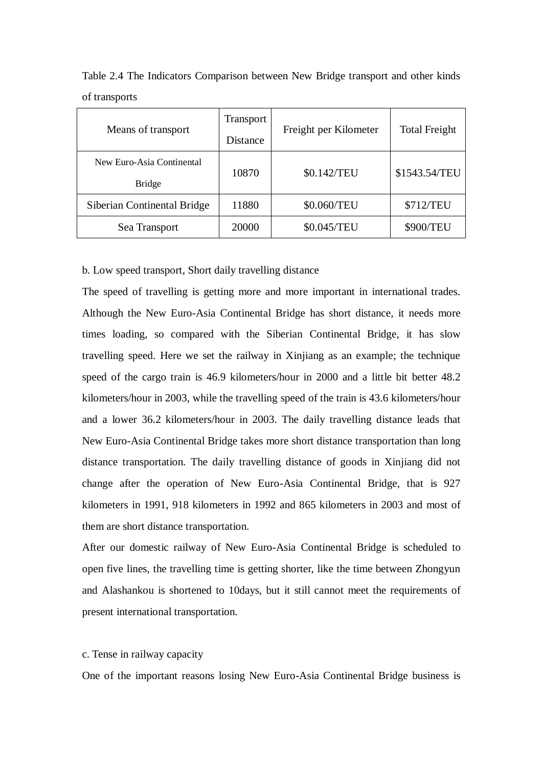| Means of transport                         | Transport<br>Distance | Freight per Kilometer | <b>Total Freight</b> |
|--------------------------------------------|-----------------------|-----------------------|----------------------|
| New Euro-Asia Continental<br><b>Bridge</b> | 10870                 | \$0.142/TEU           | \$1543.54/TEU        |
| Siberian Continental Bridge                | 11880                 | \$0.060/TEU           | \$712/TEU            |
| Sea Transport                              | 20000                 | \$0.045/TEU           | \$900/TEU            |

Table 2.4 The Indicators Comparison between New Bridge transport and other kinds of transports

b. Low speed transport, Short daily travelling distance

The speed of travelling is getting more and more important in international trades. Although the New Euro-Asia Continental Bridge has short distance, it needs more times loading, so compared with the Siberian Continental Bridge, it has slow travelling speed. Here we set the railway in Xinjiang as an example; the technique speed of the cargo train is 46.9 kilometers/hour in 2000 and a little bit better 48.2 kilometers/hour in 2003, while the travelling speed of the train is 43.6 kilometers/hour and a lower 36.2 kilometers/hour in 2003. The daily travelling distance leads that New Euro-Asia Continental Bridge takes more short distance transportation than long distance transportation. The daily travelling distance of goods in Xinjiang did not change after the operation of New Euro-Asia Continental Bridge, that is 927 kilometers in 1991, 918 kilometers in 1992 and 865 kilometers in 2003 and most of them are short distance transportation.

After our domestic railway of New Euro-Asia Continental Bridge is scheduled to open five lines, the travelling time is getting shorter, like the time between Zhongyun and Alashankou is shortened to 10days, but it still cannot meet the requirements of present international transportation.

## c. Tense in railway capacity

One of the important reasons losing New Euro-Asia Continental Bridge business is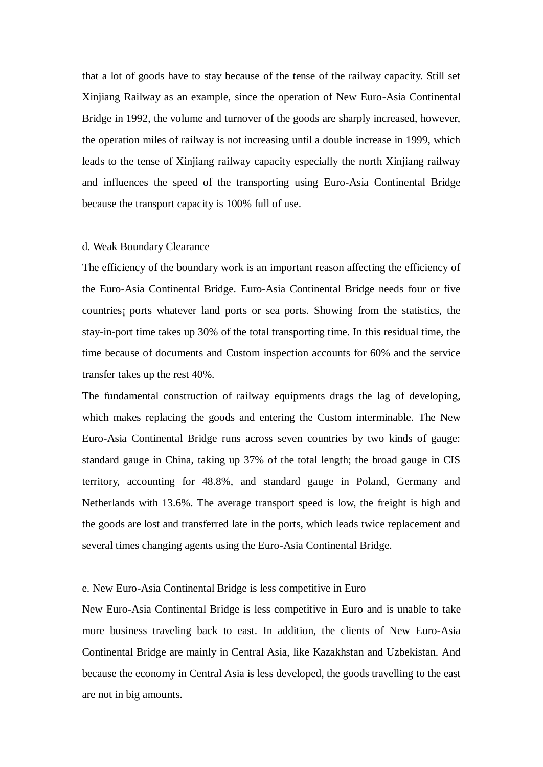that a lot of goods have to stay because of the tense of the railway capacity. Still set Xinjiang Railway as an example, since the operation of New Euro-Asia Continental Bridge in 1992, the volume and turnover of the goods are sharply increased, however, the operation miles of railway is not increasing until a double increase in 1999, which leads to the tense of Xinjiang railway capacity especially the north Xinjiang railway and influences the speed of the transporting using Euro-Asia Continental Bridge because the transport capacity is 100% full of use.

#### d. Weak Boundary Clearance

The efficiency of the boundary work is an important reason affecting the efficiency of the Euro-Asia Continental Bridge. Euro-Asia Continental Bridge needs four or five countries¡ ports whatever land ports or sea ports. Showing from the statistics, the stay-in-port time takes up 30% of the total transporting time. In this residual time, the time because of documents and Custom inspection accounts for 60% and the service transfer takes up the rest 40%.

The fundamental construction of railway equipments drags the lag of developing, which makes replacing the goods and entering the Custom interminable. The New Euro-Asia Continental Bridge runs across seven countries by two kinds of gauge: standard gauge in China, taking up 37% of the total length; the broad gauge in CIS territory, accounting for 48.8%, and standard gauge in Poland, Germany and Netherlands with 13.6%. The average transport speed is low, the freight is high and the goods are lost and transferred late in the ports, which leads twice replacement and several times changing agents using the Euro-Asia Continental Bridge.

## e. New Euro-Asia Continental Bridge is less competitive in Euro

New Euro-Asia Continental Bridge is less competitive in Euro and is unable to take more business traveling back to east. In addition, the clients of New Euro-Asia Continental Bridge are mainly in Central Asia, like Kazakhstan and Uzbekistan. And because the economy in Central Asia is less developed, the goods travelling to the east are not in big amounts.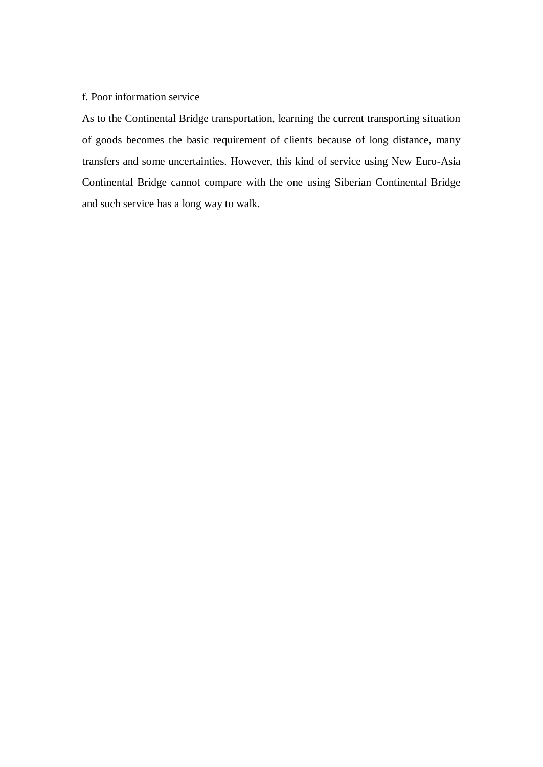# f. Poor information service

As to the Continental Bridge transportation, learning the current transporting situation of goods becomes the basic requirement of clients because of long distance, many transfers and some uncertainties. However, this kind of service using New Euro-Asia Continental Bridge cannot compare with the one using Siberian Continental Bridge and such service has a long way to walk.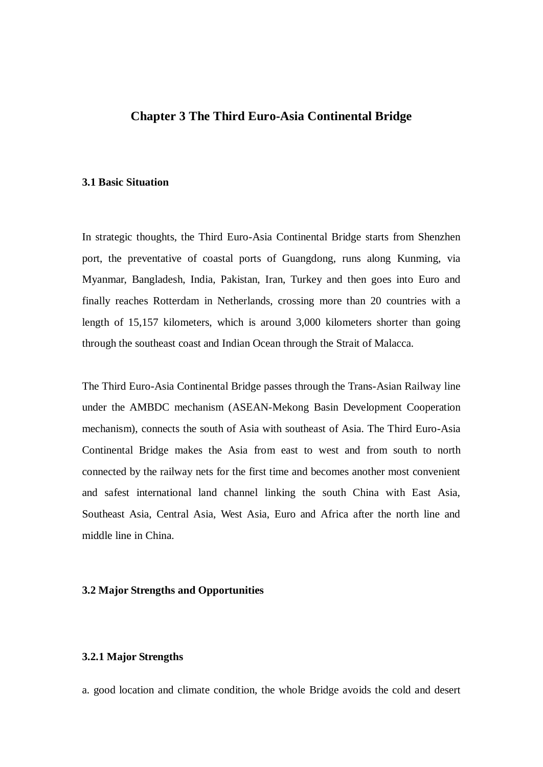# **Chapter 3 The Third Euro-Asia Continental Bridge**

## **3.1 Basic Situation**

In strategic thoughts, the Third Euro-Asia Continental Bridge starts from Shenzhen port, the preventative of coastal ports of Guangdong, runs along Kunming, via Myanmar, Bangladesh, India, Pakistan, Iran, Turkey and then goes into Euro and finally reaches Rotterdam in Netherlands, crossing more than 20 countries with a length of 15,157 kilometers, which is around 3,000 kilometers shorter than going through the southeast coast and Indian Ocean through the Strait of Malacca.

The Third Euro-Asia Continental Bridge passes through the Trans-Asian Railway line under the AMBDC mechanism (ASEAN-Mekong Basin Development Cooperation mechanism), connects the south of Asia with southeast of Asia. The Third Euro-Asia Continental Bridge makes the Asia from east to west and from south to north connected by the railway nets for the first time and becomes another most convenient and safest international land channel linking the south China with East Asia, Southeast Asia, Central Asia, West Asia, Euro and Africa after the north line and middle line in China.

## **3.2 Major Strengths and Opportunities**

## **3.2.1 Major Strengths**

a. good location and climate condition, the whole Bridge avoids the cold and desert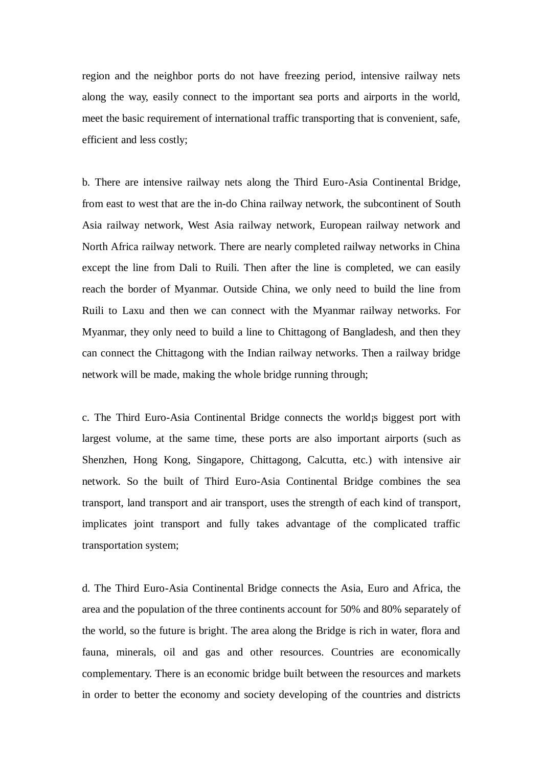region and the neighbor ports do not have freezing period, intensive railway nets along the way, easily connect to the important sea ports and airports in the world, meet the basic requirement of international traffic transporting that is convenient, safe, efficient and less costly;

b. There are intensive railway nets along the Third Euro-Asia Continental Bridge, from east to west that are the in-do China railway network, the subcontinent of South Asia railway network, West Asia railway network, European railway network and North Africa railway network. There are nearly completed railway networks in China except the line from Dali to Ruili. Then after the line is completed, we can easily reach the border of Myanmar. Outside China, we only need to build the line from Ruili to Laxu and then we can connect with the Myanmar railway networks. For Myanmar, they only need to build a line to Chittagong of Bangladesh, and then they can connect the Chittagong with the Indian railway networks. Then a railway bridge network will be made, making the whole bridge running through;

c. The Third Euro-Asia Continental Bridge connects the world¡s biggest port with largest volume, at the same time, these ports are also important airports (such as Shenzhen, Hong Kong, Singapore, Chittagong, Calcutta, etc.) with intensive air network. So the built of Third Euro-Asia Continental Bridge combines the sea transport, land transport and air transport, uses the strength of each kind of transport, implicates joint transport and fully takes advantage of the complicated traffic transportation system;

d. The Third Euro-Asia Continental Bridge connects the Asia, Euro and Africa, the area and the population of the three continents account for 50% and 80% separately of the world, so the future is bright. The area along the Bridge is rich in water, flora and fauna, minerals, oil and gas and other resources. Countries are economically complementary. There is an economic bridge built between the resources and markets in order to better the economy and society developing of the countries and districts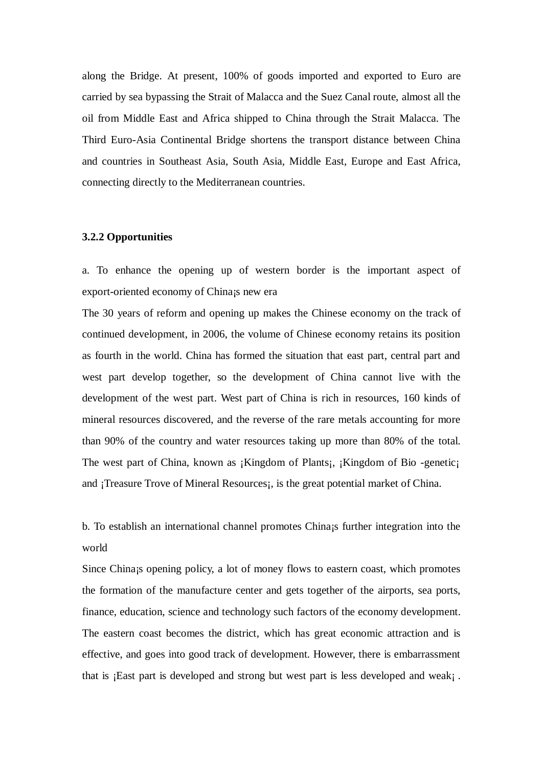along the Bridge. At present, 100% of goods imported and exported to Euro are carried by sea bypassing the Strait of Malacca and the Suez Canal route, almost all the oil from Middle East and Africa shipped to China through the Strait Malacca. The Third Euro-Asia Continental Bridge shortens the transport distance between China and countries in Southeast Asia, South Asia, Middle East, Europe and East Africa, connecting directly to the Mediterranean countries.

#### **3.2.2 Opportunities**

a. To enhance the opening up of western border is the important aspect of export-oriented economy of China¡s new era

The 30 years of reform and opening up makes the Chinese economy on the track of continued development, in 2006, the volume of Chinese economy retains its position as fourth in the world. China has formed the situation that east part, central part and west part develop together, so the development of China cannot live with the development of the west part. West part of China is rich in resources, 160 kinds of mineral resources discovered, and the reverse of the rare metals accounting for more than 90% of the country and water resources taking up more than 80% of the total. The west part of China, known as ¡Kingdom of Plants¡, ¡Kingdom of Bio -genetic¡ and ¡Treasure Trove of Mineral Resources¡, is the great potential market of China.

b. To establish an international channel promotes China; further integration into the world

Since China¡s opening policy, a lot of money flows to eastern coast, which promotes the formation of the manufacture center and gets together of the airports, sea ports, finance, education, science and technology such factors of the economy development. The eastern coast becomes the district, which has great economic attraction and is effective, and goes into good track of development. However, there is embarrassment that is ¡East part is developed and strong but west part is less developed and weak¡ .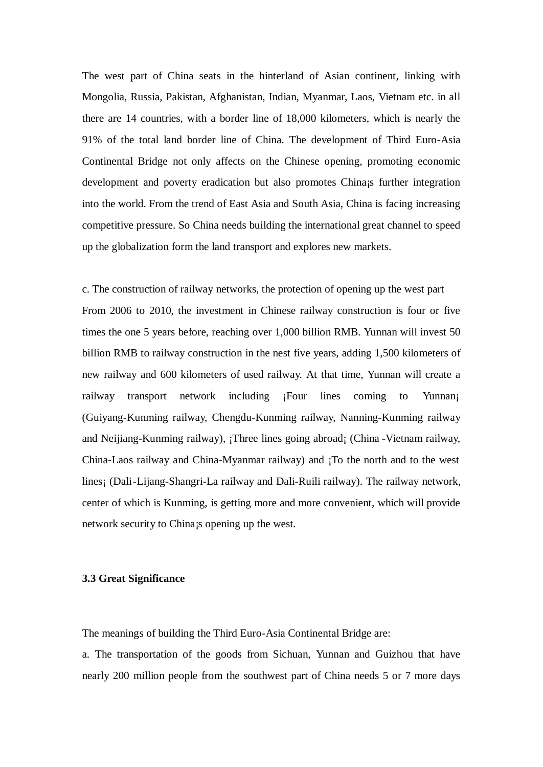The west part of China seats in the hinterland of Asian continent, linking with Mongolia, Russia, Pakistan, Afghanistan, Indian, Myanmar, Laos, Vietnam etc. in all there are 14 countries, with a border line of 18,000 kilometers, which is nearly the 91% of the total land border line of China. The development of Third Euro-Asia Continental Bridge not only affects on the Chinese opening, promoting economic development and poverty eradication but also promotes China¡s further integration into the world. From the trend of East Asia and South Asia, China is facing increasing competitive pressure. So China needs building the international great channel to speed up the globalization form the land transport and explores new markets.

c. The construction of railway networks, the protection of opening up the west part From 2006 to 2010, the investment in Chinese railway construction is four or five times the one 5 years before, reaching over 1,000 billion RMB. Yunnan will invest 50 billion RMB to railway construction in the nest five years, adding 1,500 kilometers of new railway and 600 kilometers of used railway. At that time, Yunnan will create a railway transport network including <sub>i</sub>Four lines coming to Yunnan<sub>i</sub> (Guiyang-Kunming railway, Chengdu-Kunming railway, Nanning-Kunming railway and Neijiang-Kunming railway), ¡Three lines going abroad¡ (China -Vietnam railway, China-Laos railway and China-Myanmar railway) and ¡To the north and to the west lines¡ (Dali-Lijang-Shangri-La railway and Dali-Ruili railway). The railway network, center of which is Kunming, is getting more and more convenient, which will provide network security to China¡s opening up the west.

### **3.3 Great Significance**

The meanings of building the Third Euro-Asia Continental Bridge are:

a. The transportation of the goods from Sichuan, Yunnan and Guizhou that have nearly 200 million people from the southwest part of China needs 5 or 7 more days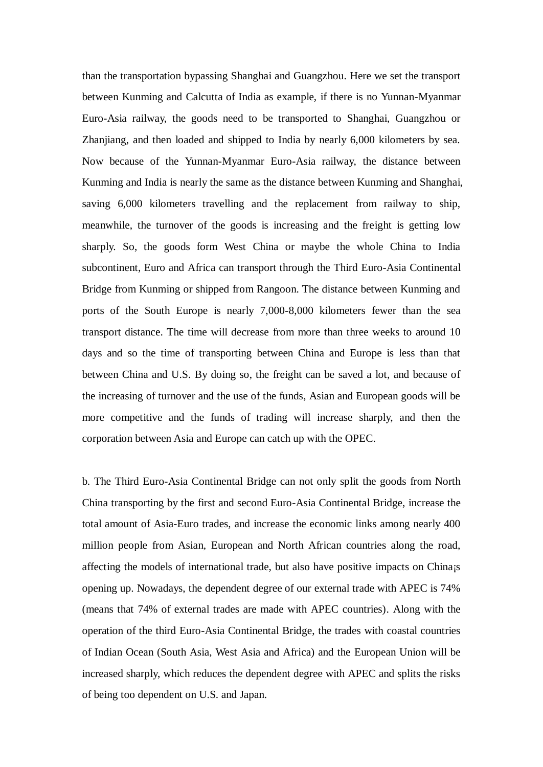than the transportation bypassing Shanghai and Guangzhou. Here we set the transport between Kunming and Calcutta of India as example, if there is no Yunnan-Myanmar Euro-Asia railway, the goods need to be transported to Shanghai, Guangzhou or Zhanjiang, and then loaded and shipped to India by nearly 6,000 kilometers by sea. Now because of the Yunnan-Myanmar Euro-Asia railway, the distance between Kunming and India is nearly the same as the distance between Kunming and Shanghai, saving 6,000 kilometers travelling and the replacement from railway to ship, meanwhile, the turnover of the goods is increasing and the freight is getting low sharply. So, the goods form West China or maybe the whole China to India subcontinent, Euro and Africa can transport through the Third Euro-Asia Continental Bridge from Kunming or shipped from Rangoon. The distance between Kunming and ports of the South Europe is nearly 7,000-8,000 kilometers fewer than the sea transport distance. The time will decrease from more than three weeks to around 10 days and so the time of transporting between China and Europe is less than that between China and U.S. By doing so, the freight can be saved a lot, and because of the increasing of turnover and the use of the funds, Asian and European goods will be more competitive and the funds of trading will increase sharply, and then the corporation between Asia and Europe can catch up with the OPEC.

b. The Third Euro-Asia Continental Bridge can not only split the goods from North China transporting by the first and second Euro-Asia Continental Bridge, increase the total amount of Asia-Euro trades, and increase the economic links among nearly 400 million people from Asian, European and North African countries along the road, affecting the models of international trade, but also have positive impacts on China¡s opening up. Nowadays, the dependent degree of our external trade with APEC is 74% (means that 74% of external trades are made with APEC countries). Along with the operation of the third Euro-Asia Continental Bridge, the trades with coastal countries of Indian Ocean (South Asia, West Asia and Africa) and the European Union will be increased sharply, which reduces the dependent degree with APEC and splits the risks of being too dependent on U.S. and Japan.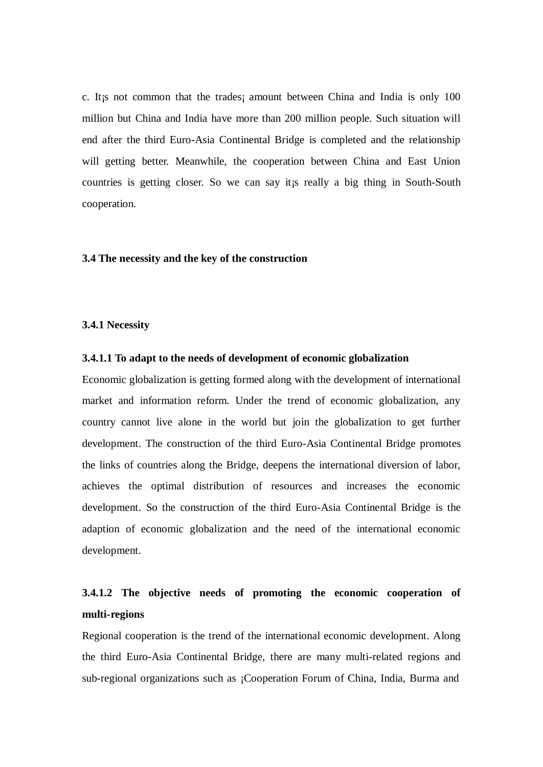c. It¡s not common that the trades¡ amount between China and India is only 100 million but China and India have more than 200 million people. Such situation will end after the third Euro-Asia Continental Bridge is completed and the relationship will getting better. Meanwhile, the cooperation between China and East Union countries is getting closer. So we can say it¡s really a big thing in South-South cooperation.

#### **3.4 The necessity and the key of the construction**

## **3.4.1 Necessity**

### **3.4.1.1 To adapt to the needs of development of economic globalization**

Economic globalization is getting formed along with the development of international market and information reform. Under the trend of economic globalization, any country cannot live alone in the world but join the globalization to get further development. The construction of the third Euro-Asia Continental Bridge promotes the links of countries along the Bridge, deepens the international diversion of labor, achieves the optimal distribution of resources and increases the economic development. So the construction of the third Euro-Asia Continental Bridge is the adaption of economic globalization and the need of the international economic development.

# **3.4.1.2 The objective needs of promoting the economic cooperation of multi-regions**

Regional cooperation is the trend of the international economic development. Along the third Euro-Asia Continental Bridge, there are many multi-related regions and sub-regional organizations such as ¡Cooperation Forum of China, India, Burma and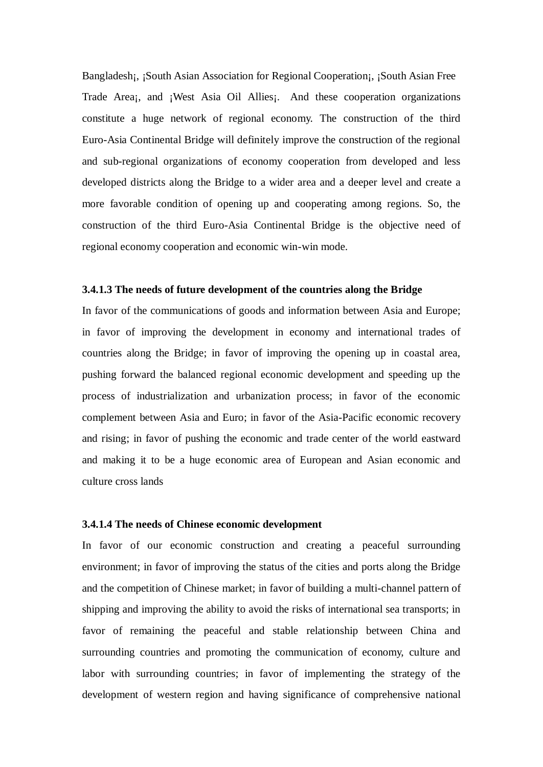Bangladesh; ¡South Asian Association for Regional Cooperation; ¡South Asian Free Trade Area;, and ¡West Asia Oil Allies;. And these cooperation organizations constitute a huge network of regional economy. The construction of the third Euro-Asia Continental Bridge will definitely improve the construction of the regional and sub-regional organizations of economy cooperation from developed and less developed districts along the Bridge to a wider area and a deeper level and create a more favorable condition of opening up and cooperating among regions. So, the construction of the third Euro-Asia Continental Bridge is the objective need of regional economy cooperation and economic win-win mode.

#### **3.4.1.3 The needs of future development of the countries along the Bridge**

In favor of the communications of goods and information between Asia and Europe; in favor of improving the development in economy and international trades of countries along the Bridge; in favor of improving the opening up in coastal area, pushing forward the balanced regional economic development and speeding up the process of industrialization and urbanization process; in favor of the economic complement between Asia and Euro; in favor of the Asia-Pacific economic recovery and rising; in favor of pushing the economic and trade center of the world eastward and making it to be a huge economic area of European and Asian economic and culture cross lands

#### **3.4.1.4 The needs of Chinese economic development**

In favor of our economic construction and creating a peaceful surrounding environment; in favor of improving the status of the cities and ports along the Bridge and the competition of Chinese market; in favor of building a multi-channel pattern of shipping and improving the ability to avoid the risks of international sea transports; in favor of remaining the peaceful and stable relationship between China and surrounding countries and promoting the communication of economy, culture and labor with surrounding countries; in favor of implementing the strategy of the development of western region and having significance of comprehensive national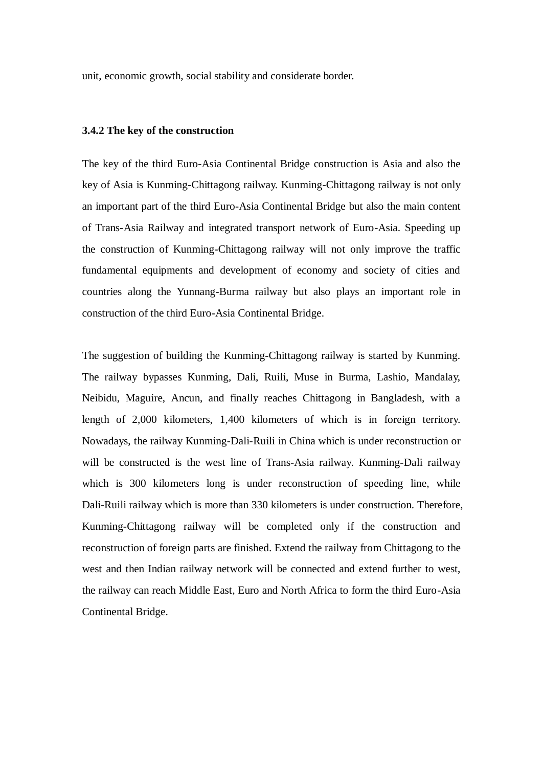unit, economic growth, social stability and considerate border.

### **3.4.2 The key of the construction**

The key of the third Euro-Asia Continental Bridge construction is Asia and also the key of Asia is Kunming-Chittagong railway. Kunming-Chittagong railway is not only an important part of the third Euro-Asia Continental Bridge but also the main content of Trans-Asia Railway and integrated transport network of Euro-Asia. Speeding up the construction of Kunming-Chittagong railway will not only improve the traffic fundamental equipments and development of economy and society of cities and countries along the Yunnang-Burma railway but also plays an important role in construction of the third Euro-Asia Continental Bridge.

The suggestion of building the Kunming-Chittagong railway is started by Kunming. The railway bypasses Kunming, Dali, Ruili, Muse in Burma, Lashio, Mandalay, Neibidu, Maguire, Ancun, and finally reaches Chittagong in Bangladesh, with a length of 2,000 kilometers, 1,400 kilometers of which is in foreign territory. Nowadays, the railway Kunming-Dali-Ruili in China which is under reconstruction or will be constructed is the west line of Trans-Asia railway. Kunming-Dali railway which is 300 kilometers long is under reconstruction of speeding line, while Dali-Ruili railway which is more than 330 kilometers is under construction. Therefore, Kunming-Chittagong railway will be completed only if the construction and reconstruction of foreign parts are finished. Extend the railway from Chittagong to the west and then Indian railway network will be connected and extend further to west, the railway can reach Middle East, Euro and North Africa to form the third Euro-Asia Continental Bridge.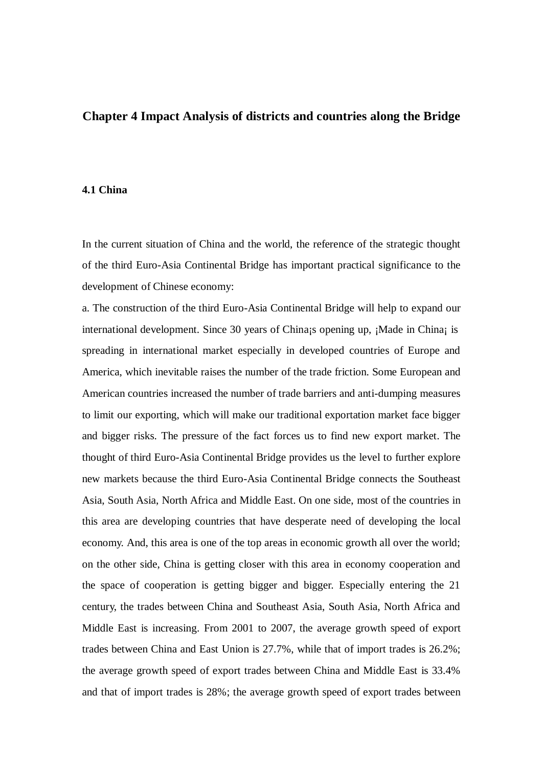# **Chapter 4 Impact Analysis of districts and countries along the Bridge**

## **4.1 China**

In the current situation of China and the world, the reference of the strategic thought of the third Euro-Asia Continental Bridge has important practical significance to the development of Chinese economy:

a. The construction of the third Euro-Asia Continental Bridge will help to expand our international development. Since 30 years of China; opening up, ¡Made in China; is spreading in international market especially in developed countries of Europe and America, which inevitable raises the number of the trade friction. Some European and American countries increased the number of trade barriers and anti-dumping measures to limit our exporting, which will make our traditional exportation market face bigger and bigger risks. The pressure of the fact forces us to find new export market. The thought of third Euro-Asia Continental Bridge provides us the level to further explore new markets because the third Euro-Asia Continental Bridge connects the Southeast Asia, South Asia, North Africa and Middle East. On one side, most of the countries in this area are developing countries that have desperate need of developing the local economy. And, this area is one of the top areas in economic growth all over the world; on the other side, China is getting closer with this area in economy cooperation and the space of cooperation is getting bigger and bigger. Especially entering the 21 century, the trades between China and Southeast Asia, South Asia, North Africa and Middle East is increasing. From 2001 to 2007, the average growth speed of export trades between China and East Union is 27.7%, while that of import trades is 26.2%; the average growth speed of export trades between China and Middle East is 33.4% and that of import trades is 28%; the average growth speed of export trades between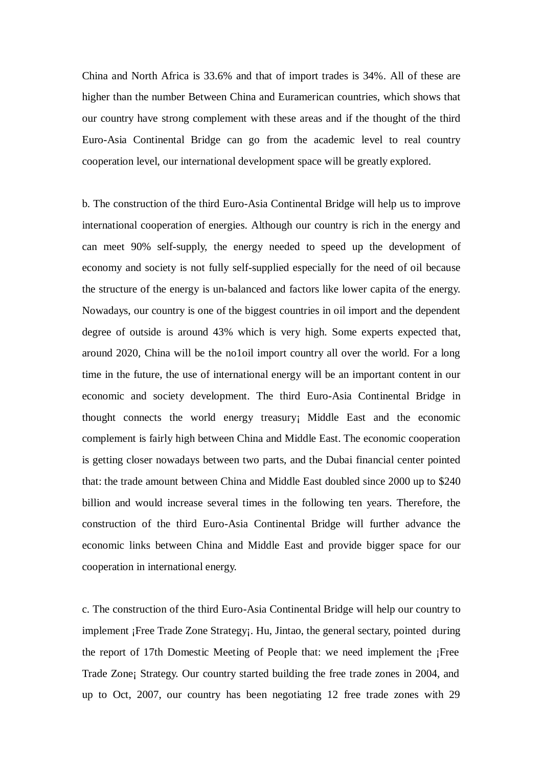China and North Africa is 33.6% and that of import trades is 34%. All of these are higher than the number Between China and Euramerican countries, which shows that our country have strong complement with these areas and if the thought of the third Euro-Asia Continental Bridge can go from the academic level to real country cooperation level, our international development space will be greatly explored.

b. The construction of the third Euro-Asia Continental Bridge will help us to improve international cooperation of energies. Although our country is rich in the energy and can meet 90% self-supply, the energy needed to speed up the development of economy and society is not fully self-supplied especially for the need of oil because the structure of the energy is un-balanced and factors like lower capita of the energy. Nowadays, our country is one of the biggest countries in oil import and the dependent degree of outside is around 43% which is very high. Some experts expected that, around 2020, China will be the no1oil import country all over the world. For a long time in the future, the use of international energy will be an important content in our economic and society development. The third Euro-Asia Continental Bridge in thought connects the world energy treasury¡ Middle East and the economic complement is fairly high between China and Middle East. The economic cooperation is getting closer nowadays between two parts, and the Dubai financial center pointed that: the trade amount between China and Middle East doubled since 2000 up to \$240 billion and would increase several times in the following ten years. Therefore, the construction of the third Euro-Asia Continental Bridge will further advance the economic links between China and Middle East and provide bigger space for our cooperation in international energy.

c. The construction of the third Euro-Asia Continental Bridge will help our country to implement ¡Free Trade Zone Strategy¡. Hu, Jintao, the general sectary, pointed during the report of 17th Domestic Meeting of People that: we need implement the ¡Free Trade Zone¡ Strategy. Our country started building the free trade zones in 2004, and up to Oct, 2007, our country has been negotiating 12 free trade zones with 29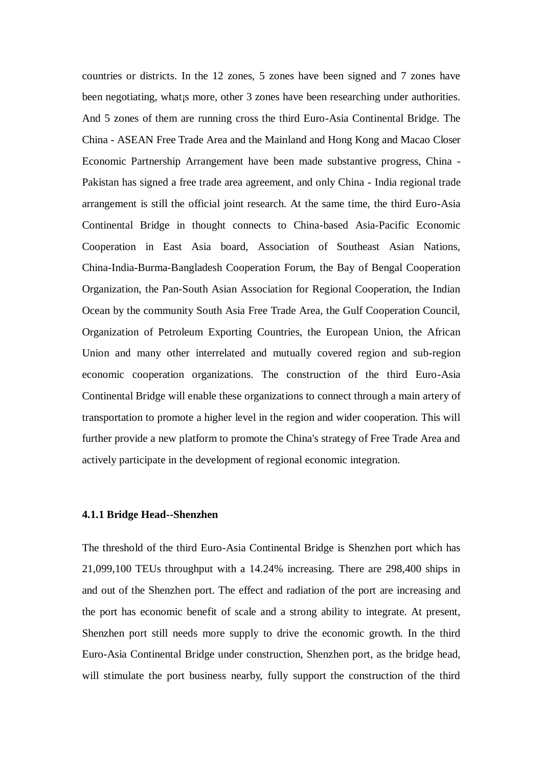countries or districts. In the 12 zones, 5 zones have been signed and 7 zones have been negotiating, what is more, other 3 zones have been researching under authorities. And 5 zones of them are running cross the third Euro-Asia Continental Bridge. The China - ASEAN Free Trade Area and the Mainland and Hong Kong and Macao Closer Economic Partnership Arrangement have been made substantive progress, China - Pakistan has signed a free trade area agreement, and only China - India regional trade arrangement is still the official joint research. At the same time, the third Euro-Asia Continental Bridge in thought connects to China-based Asia-Pacific Economic Cooperation in East Asia board, Association of Southeast Asian Nations, China-India-Burma-Bangladesh Cooperation Forum, the Bay of Bengal Cooperation Organization, the Pan-South Asian Association for Regional Cooperation, the Indian Ocean by the community South Asia Free Trade Area, the Gulf Cooperation Council, Organization of Petroleum Exporting Countries, the European Union, the African Union and many other interrelated and mutually covered region and sub-region economic cooperation organizations. The construction of the third Euro-Asia Continental Bridge will enable these organizations to connect through a main artery of transportation to promote a higher level in the region and wider cooperation. This will further provide a new platform to promote the China's strategy of Free Trade Area and actively participate in the development of regional economic integration.

## **4.1.1 Bridge Head--Shenzhen**

The threshold of the third Euro-Asia Continental Bridge is Shenzhen port which has 21,099,100 TEUs throughput with a 14.24% increasing. There are 298,400 ships in and out of the Shenzhen port. The effect and radiation of the port are increasing and the port has economic benefit of scale and a strong ability to integrate. At present, Shenzhen port still needs more supply to drive the economic growth. In the third Euro-Asia Continental Bridge under construction, Shenzhen port, as the bridge head, will stimulate the port business nearby, fully support the construction of the third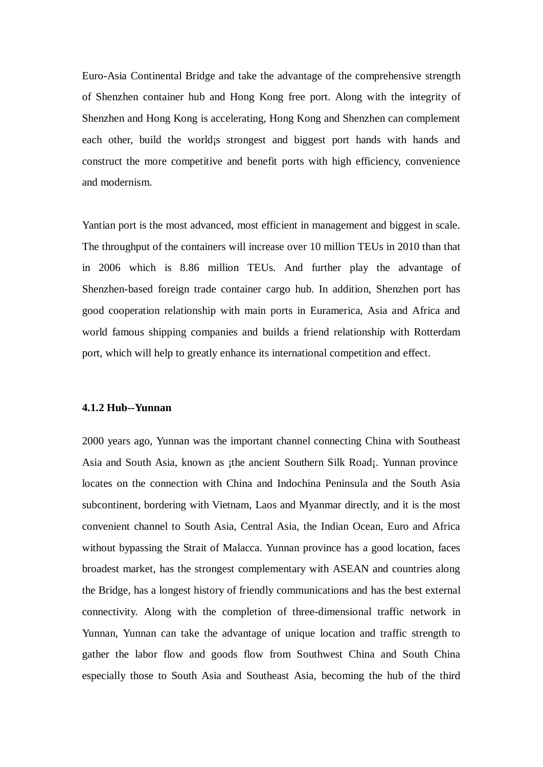Euro-Asia Continental Bridge and take the advantage of the comprehensive strength of Shenzhen container hub and Hong Kong free port. Along with the integrity of Shenzhen and Hong Kong is accelerating, Hong Kong and Shenzhen can complement each other, build the world; strongest and biggest port hands with hands and construct the more competitive and benefit ports with high efficiency, convenience and modernism.

Yantian port is the most advanced, most efficient in management and biggest in scale. The throughput of the containers will increase over 10 million TEUs in 2010 than that in 2006 which is 8.86 million TEUs. And further play the advantage of Shenzhen-based foreign trade container cargo hub. In addition, Shenzhen port has good cooperation relationship with main ports in Euramerica, Asia and Africa and world famous shipping companies and builds a friend relationship with Rotterdam port, which will help to greatly enhance its international competition and effect.

## **4.1.2 Hub--Yunnan**

2000 years ago, Yunnan was the important channel connecting China with Southeast Asia and South Asia, known as ¡the ancient Southern Silk Road¡. Yunnan province locates on the connection with China and Indochina Peninsula and the South Asia subcontinent, bordering with Vietnam, Laos and Myanmar directly, and it is the most convenient channel to South Asia, Central Asia, the Indian Ocean, Euro and Africa without bypassing the Strait of Malacca. Yunnan province has a good location, faces broadest market, has the strongest complementary with ASEAN and countries along the Bridge, has a longest history of friendly communications and has the best external connectivity. Along with the completion of three-dimensional traffic network in Yunnan, Yunnan can take the advantage of unique location and traffic strength to gather the labor flow and goods flow from Southwest China and South China especially those to South Asia and Southeast Asia, becoming the hub of the third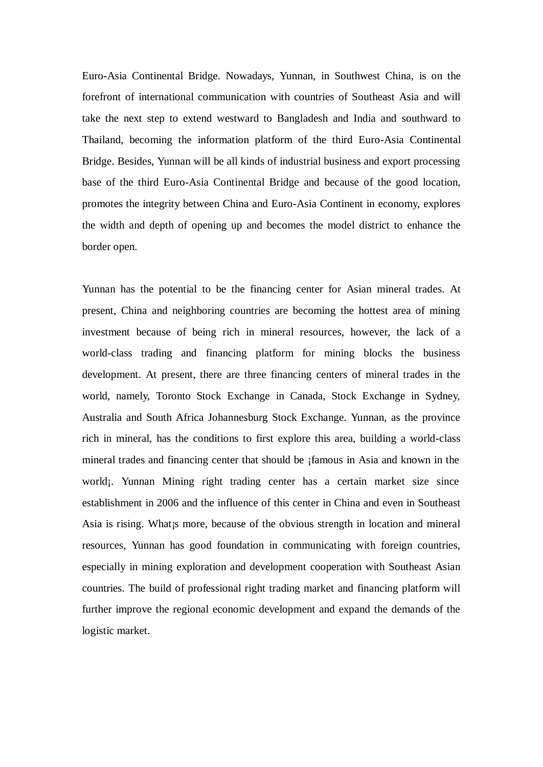Euro-Asia Continental Bridge. Nowadays, Yunnan, in Southwest China, is on the forefront of international communication with countries of Southeast Asia and will take the next step to extend westward to Bangladesh and India and southward to Thailand, becoming the information platform of the third Euro-Asia Continental Bridge. Besides, Yunnan will be all kinds of industrial business and export processing base of the third Euro-Asia Continental Bridge and because of the good location, promotes the integrity between China and Euro-Asia Continent in economy, explores the width and depth of opening up and becomes the model district to enhance the border open.

Yunnan has the potential to be the financing center for Asian mineral trades. At present, China and neighboring countries are becoming the hottest area of mining investment because of being rich in mineral resources, however, the lack of a world-class trading and financing platform for mining blocks the business development. At present, there are three financing centers of mineral trades in the world, namely, Toronto Stock Exchange in Canada, Stock Exchange in Sydney, Australia and South Africa Johannesburg Stock Exchange. Yunnan, as the province rich in mineral, has the conditions to first explore this area, building a world-class mineral trades and financing center that should be ¡famous in Asia and known in the world; Yunnan Mining right trading center has a certain market size since establishment in 2006 and the influence of this center in China and even in Southeast Asia is rising. What¡s more, because of the obvious strength in location and mineral resources, Yunnan has good foundation in communicating with foreign countries, especially in mining exploration and development cooperation with Southeast Asian countries. The build of professional right trading market and financing platform will further improve the regional economic development and expand the demands of the logistic market.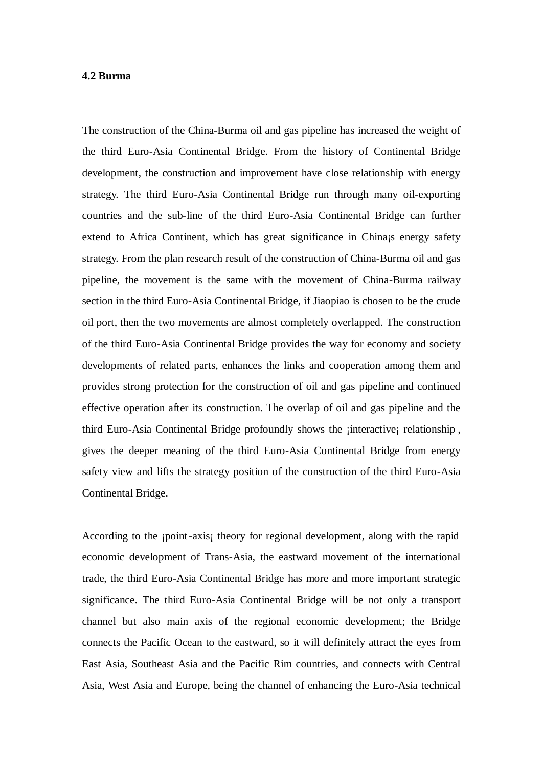#### **4.2 Burma**

The construction of the China-Burma oil and gas pipeline has increased the weight of the third Euro-Asia Continental Bridge. From the history of Continental Bridge development, the construction and improvement have close relationship with energy strategy. The third Euro-Asia Continental Bridge run through many oil-exporting countries and the sub-line of the third Euro-Asia Continental Bridge can further extend to Africa Continent, which has great significance in China; energy safety strategy. From the plan research result of the construction of China-Burma oil and gas pipeline, the movement is the same with the movement of China-Burma railway section in the third Euro-Asia Continental Bridge, if Jiaopiao is chosen to be the crude oil port, then the two movements are almost completely overlapped. The construction of the third Euro-Asia Continental Bridge provides the way for economy and society developments of related parts, enhances the links and cooperation among them and provides strong protection for the construction of oil and gas pipeline and continued effective operation after its construction. The overlap of oil and gas pipeline and the third Euro-Asia Continental Bridge profoundly shows the ¡interactive¡ relationship , gives the deeper meaning of the third Euro-Asia Continental Bridge from energy safety view and lifts the strategy position of the construction of the third Euro-Asia Continental Bridge.

According to the *ipoint-axis theory for regional development, along with the rapid* economic development of Trans-Asia, the eastward movement of the international trade, the third Euro-Asia Continental Bridge has more and more important strategic significance. The third Euro-Asia Continental Bridge will be not only a transport channel but also main axis of the regional economic development; the Bridge connects the Pacific Ocean to the eastward, so it will definitely attract the eyes from East Asia, Southeast Asia and the Pacific Rim countries, and connects with Central Asia, West Asia and Europe, being the channel of enhancing the Euro-Asia technical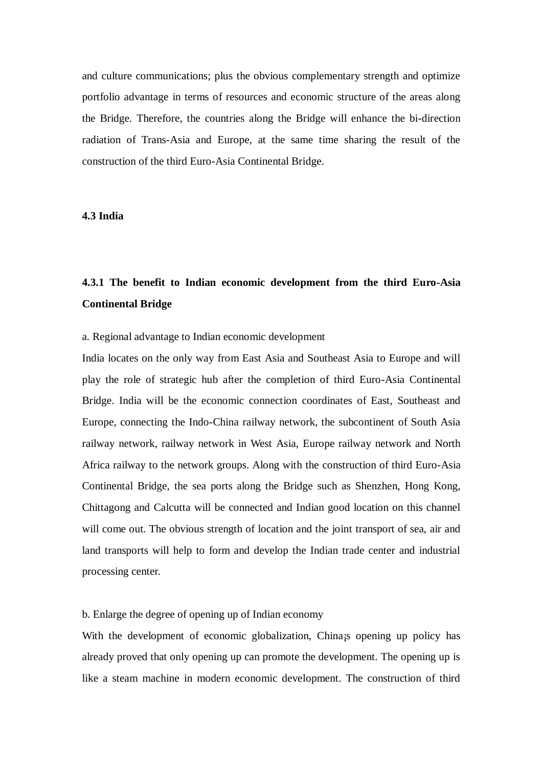and culture communications; plus the obvious complementary strength and optimize portfolio advantage in terms of resources and economic structure of the areas along the Bridge. Therefore, the countries along the Bridge will enhance the bi-direction radiation of Trans-Asia and Europe, at the same time sharing the result of the construction of the third Euro-Asia Continental Bridge.

## **4.3 India**

# **4.3.1 The benefit to Indian economic development from the third Euro-Asia Continental Bridge**

#### a. Regional advantage to Indian economic development

India locates on the only way from East Asia and Southeast Asia to Europe and will play the role of strategic hub after the completion of third Euro-Asia Continental Bridge. India will be the economic connection coordinates of East, Southeast and Europe, connecting the Indo-China railway network, the subcontinent of South Asia railway network, railway network in West Asia, Europe railway network and North Africa railway to the network groups. Along with the construction of third Euro-Asia Continental Bridge, the sea ports along the Bridge such as Shenzhen, Hong Kong, Chittagong and Calcutta will be connected and Indian good location on this channel will come out. The obvious strength of location and the joint transport of sea, air and land transports will help to form and develop the Indian trade center and industrial processing center.

# b. Enlarge the degree of opening up of Indian economy

With the development of economic globalization, China; opening up policy has already proved that only opening up can promote the development. The opening up is like a steam machine in modern economic development. The construction of third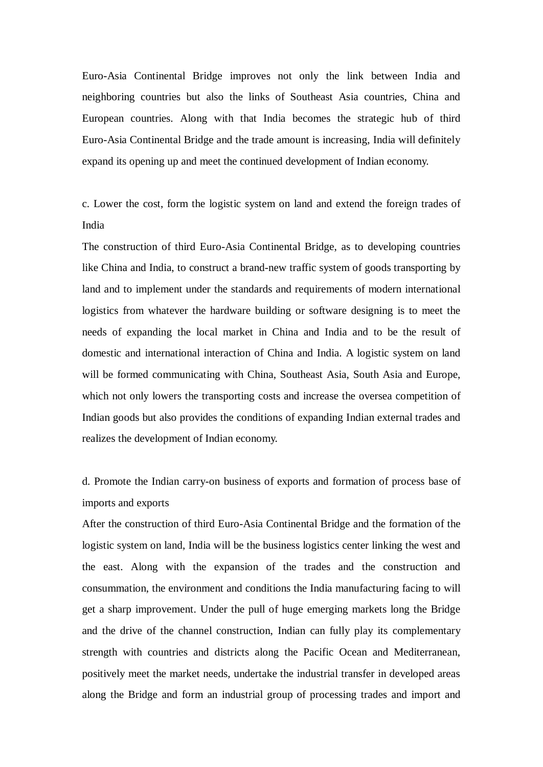Euro-Asia Continental Bridge improves not only the link between India and neighboring countries but also the links of Southeast Asia countries, China and European countries. Along with that India becomes the strategic hub of third Euro-Asia Continental Bridge and the trade amount is increasing, India will definitely expand its opening up and meet the continued development of Indian economy.

c. Lower the cost, form the logistic system on land and extend the foreign trades of India

The construction of third Euro-Asia Continental Bridge, as to developing countries like China and India, to construct a brand-new traffic system of goods transporting by land and to implement under the standards and requirements of modern international logistics from whatever the hardware building or software designing is to meet the needs of expanding the local market in China and India and to be the result of domestic and international interaction of China and India. A logistic system on land will be formed communicating with China, Southeast Asia, South Asia and Europe, which not only lowers the transporting costs and increase the oversea competition of Indian goods but also provides the conditions of expanding Indian external trades and realizes the development of Indian economy.

d. Promote the Indian carry-on business of exports and formation of process base of imports and exports

After the construction of third Euro-Asia Continental Bridge and the formation of the logistic system on land, India will be the business logistics center linking the west and the east. Along with the expansion of the trades and the construction and consummation, the environment and conditions the India manufacturing facing to will get a sharp improvement. Under the pull of huge emerging markets long the Bridge and the drive of the channel construction, Indian can fully play its complementary strength with countries and districts along the Pacific Ocean and Mediterranean, positively meet the market needs, undertake the industrial transfer in developed areas along the Bridge and form an industrial group of processing trades and import and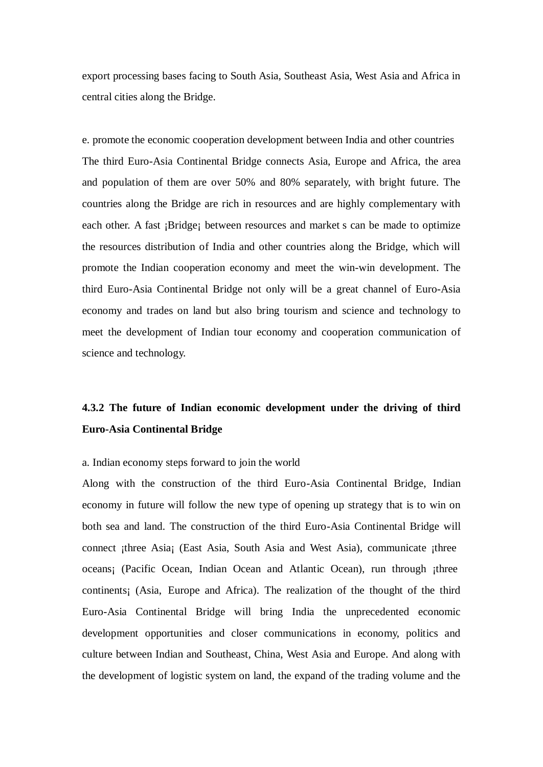export processing bases facing to South Asia, Southeast Asia, West Asia and Africa in central cities along the Bridge.

e. promote the economic cooperation development between India and other countries The third Euro-Asia Continental Bridge connects Asia, Europe and Africa, the area and population of them are over 50% and 80% separately, with bright future. The countries along the Bridge are rich in resources and are highly complementary with each other. A fast ¡Bridge¡ between resources and market s can be made to optimize the resources distribution of India and other countries along the Bridge, which will promote the Indian cooperation economy and meet the win-win development. The third Euro-Asia Continental Bridge not only will be a great channel of Euro-Asia economy and trades on land but also bring tourism and science and technology to meet the development of Indian tour economy and cooperation communication of science and technology.

# **4.3.2 The future of Indian economic development under the driving of third Euro-Asia Continental Bridge**

## a. Indian economy steps forward to join the world

Along with the construction of the third Euro-Asia Continental Bridge, Indian economy in future will follow the new type of opening up strategy that is to win on both sea and land. The construction of the third Euro-Asia Continental Bridge will connect ¡three Asia¡ (East Asia, South Asia and West Asia), communicate ¡three oceans¡ (Pacific Ocean, Indian Ocean and Atlantic Ocean), run through ¡three continents¡ (Asia, Europe and Africa). The realization of the thought of the third Euro-Asia Continental Bridge will bring India the unprecedented economic development opportunities and closer communications in economy, politics and culture between Indian and Southeast, China, West Asia and Europe. And along with the development of logistic system on land, the expand of the trading volume and the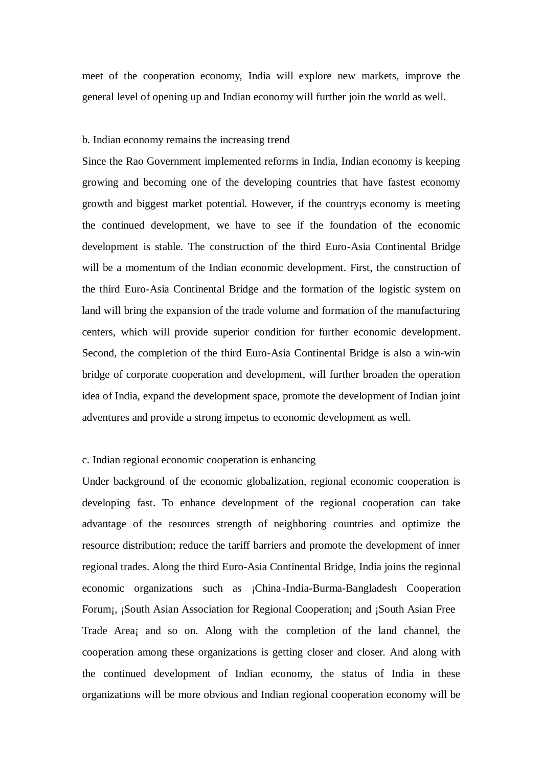meet of the cooperation economy, India will explore new markets, improve the general level of opening up and Indian economy will further join the world as well.

#### b. Indian economy remains the increasing trend

Since the Rao Government implemented reforms in India, Indian economy is keeping growing and becoming one of the developing countries that have fastest economy growth and biggest market potential. However, if the country¡s economy is meeting the continued development, we have to see if the foundation of the economic development is stable. The construction of the third Euro-Asia Continental Bridge will be a momentum of the Indian economic development. First, the construction of the third Euro-Asia Continental Bridge and the formation of the logistic system on land will bring the expansion of the trade volume and formation of the manufacturing centers, which will provide superior condition for further economic development. Second, the completion of the third Euro-Asia Continental Bridge is also a win-win bridge of corporate cooperation and development, will further broaden the operation idea of India, expand the development space, promote the development of Indian joint adventures and provide a strong impetus to economic development as well.

## c. Indian regional economic cooperation is enhancing

Under background of the economic globalization, regional economic cooperation is developing fast. To enhance development of the regional cooperation can take advantage of the resources strength of neighboring countries and optimize the resource distribution; reduce the tariff barriers and promote the development of inner regional trades. Along the third Euro-Asia Continental Bridge, India joins the regional economic organizations such as ¡China -India-Burma-Bangladesh Cooperation Forum; ¡South Asian Association for Regional Cooperation; and ¡South Asian Free Trade Area¡ and so on. Along with the completion of the land channel, the cooperation among these organizations is getting closer and closer. And along with the continued development of Indian economy, the status of India in these organizations will be more obvious and Indian regional cooperation economy will be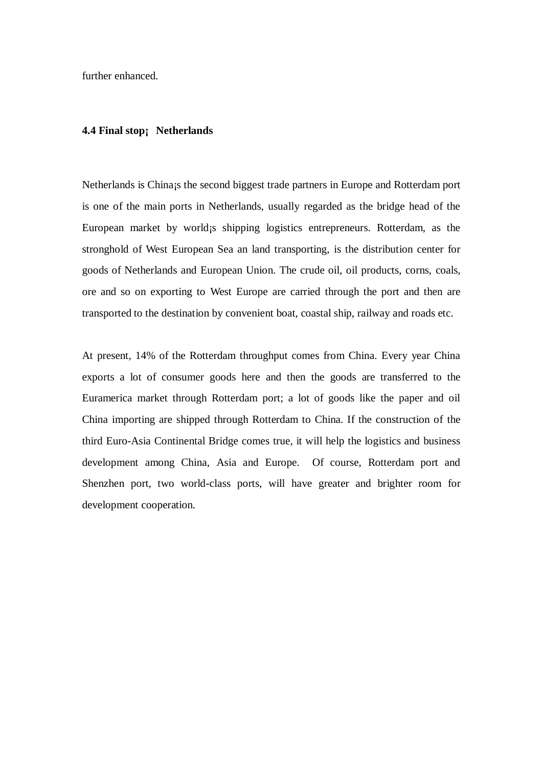further enhanced.

#### **4.4 Final stop¡ Netherlands**

Netherlands is China¡s the second biggest trade partners in Europe and Rotterdam port is one of the main ports in Netherlands, usually regarded as the bridge head of the European market by world¡s shipping logistics entrepreneurs. Rotterdam, as the stronghold of West European Sea an land transporting, is the distribution center for goods of Netherlands and European Union. The crude oil, oil products, corns, coals, ore and so on exporting to West Europe are carried through the port and then are transported to the destination by convenient boat, coastal ship, railway and roads etc.

At present, 14% of the Rotterdam throughput comes from China. Every year China exports a lot of consumer goods here and then the goods are transferred to the Euramerica market through Rotterdam port; a lot of goods like the paper and oil China importing are shipped through Rotterdam to China. If the construction of the third Euro-Asia Continental Bridge comes true, it will help the logistics and business development among China, Asia and Europe. Of course, Rotterdam port and Shenzhen port, two world-class ports, will have greater and brighter room for development cooperation.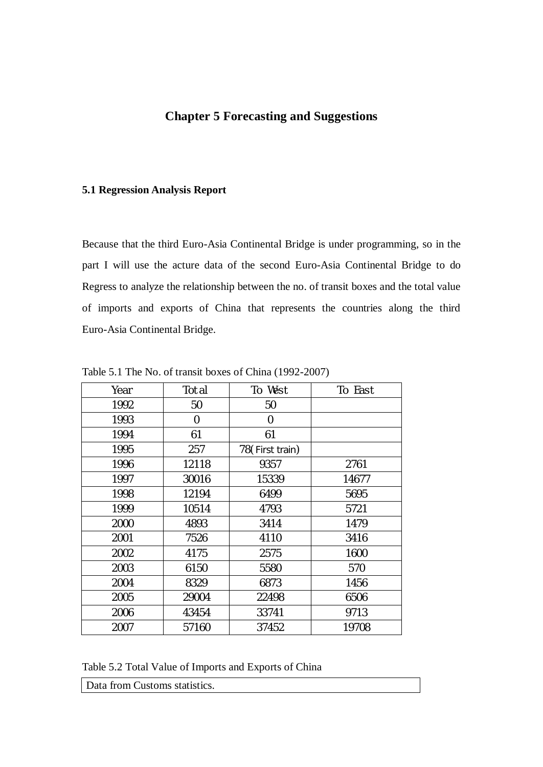# **Chapter 5 Forecasting and Suggestions**

# **5.1 Regression Analysis Report**

Because that the third Euro-Asia Continental Bridge is under programming, so in the part I will use the acture data of the second Euro-Asia Continental Bridge to do Regress to analyze the relationship between the no. of transit boxes and the total value of imports and exports of China that represents the countries along the third Euro-Asia Continental Bridge.

| Year | Total | To West         | To East |
|------|-------|-----------------|---------|
| 1992 | 50    | 50              |         |
| 1993 | 0     | 0               |         |
| 1994 | 61    | 61              |         |
| 1995 | 257   | 78(First train) |         |
| 1996 | 12118 | 9357            | 2761    |
| 1997 | 30016 | 15339           | 14677   |
| 1998 | 12194 | 6499            | 5695    |
| 1999 | 10514 | 4793            | 5721    |
| 2000 | 4893  | 3414            | 1479    |
| 2001 | 7526  | 4110            | 3416    |
| 2002 | 4175  | 2575            | 1600    |
| 2003 | 6150  | 5580            | 570     |
| 2004 | 8329  | 6873            | 1456    |
| 2005 | 29004 | 22498           | 6506    |
| 2006 | 43454 | 33741           | 9713    |
| 2007 | 57160 | 37452           | 19708   |

Table 5.1 The No. of transit boxes of China (1992-2007)

Table 5.2 Total Value of Imports and Exports of China

| Data from Customs statistics. |  |
|-------------------------------|--|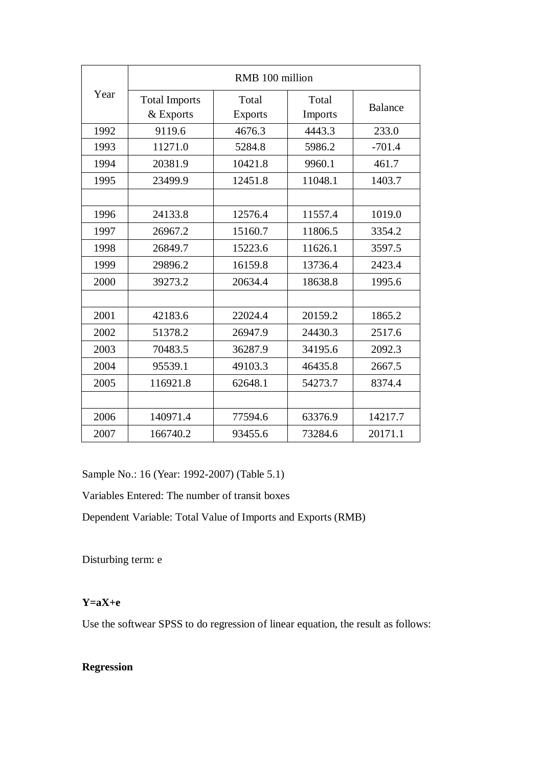|      | RMB 100 million                   |                         |                  |                |
|------|-----------------------------------|-------------------------|------------------|----------------|
| Year | <b>Total Imports</b><br>& Exports | Total<br><b>Exports</b> | Total<br>Imports | <b>Balance</b> |
| 1992 | 9119.6                            | 4676.3                  | 4443.3           | 233.0          |
| 1993 | 11271.0                           | 5284.8                  | 5986.2           | $-701.4$       |
| 1994 | 20381.9                           | 10421.8                 | 9960.1           | 461.7          |
| 1995 | 23499.9                           | 12451.8                 | 11048.1          | 1403.7         |
|      |                                   |                         |                  |                |
| 1996 | 24133.8                           | 12576.4                 | 11557.4          | 1019.0         |
| 1997 | 26967.2                           | 15160.7                 | 11806.5          | 3354.2         |
| 1998 | 26849.7                           | 15223.6                 | 11626.1          | 3597.5         |
| 1999 | 29896.2                           | 16159.8                 | 13736.4          | 2423.4         |
| 2000 | 39273.2                           | 20634.4                 | 18638.8          | 1995.6         |
|      |                                   |                         |                  |                |
| 2001 | 42183.6                           | 22024.4                 | 20159.2          | 1865.2         |
| 2002 | 51378.2                           | 26947.9                 | 24430.3          | 2517.6         |
| 2003 | 70483.5                           | 36287.9                 | 34195.6          | 2092.3         |
| 2004 | 95539.1                           | 49103.3                 | 46435.8          | 2667.5         |
| 2005 | 116921.8                          | 62648.1                 | 54273.7          | 8374.4         |
|      |                                   |                         |                  |                |
| 2006 | 140971.4                          | 77594.6                 | 63376.9          | 14217.7        |
| 2007 | 166740.2                          | 93455.6                 | 73284.6          | 20171.1        |

Sample No.: 16 (Year: 1992-2007) (Table 5.1)

Variables Entered: The number of transit boxes

Dependent Variable: Total Value of Imports and Exports (RMB)

Disturbing term: e

# **Y=aX+e**

Use the softwear SPSS to do regression of linear equation, the result as follows:

# **Regression**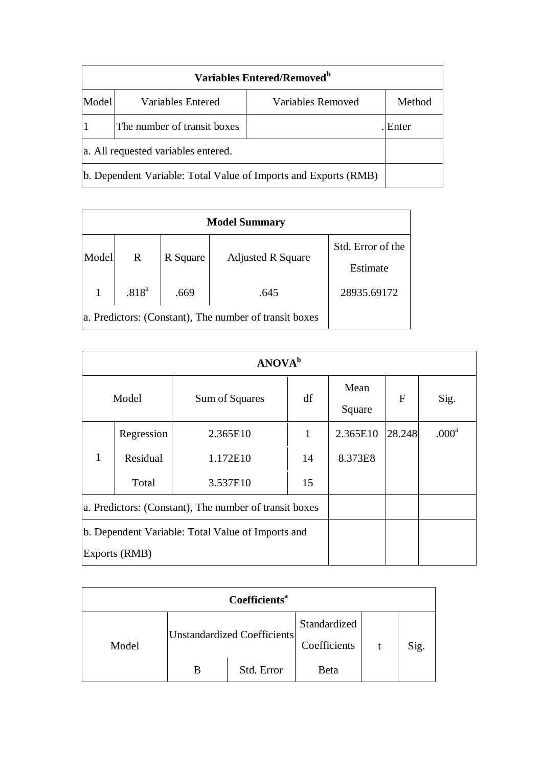|                                                                 | Variables Entered/Removed <sup>b</sup> |                   |        |  |  |
|-----------------------------------------------------------------|----------------------------------------|-------------------|--------|--|--|
| Model                                                           | Variables Entered                      | Variables Removed | Method |  |  |
|                                                                 | The number of transit boxes<br>Enter   |                   |        |  |  |
| a. All requested variables entered.                             |                                        |                   |        |  |  |
| b. Dependent Variable: Total Value of Imports and Exports (RMB) |                                        |                   |        |  |  |

| <b>Model Summary</b> |                                                        |          |                          |                   |  |  |
|----------------------|--------------------------------------------------------|----------|--------------------------|-------------------|--|--|
| Model                | R                                                      | R Square |                          | Std. Error of the |  |  |
|                      |                                                        |          | <b>Adjusted R Square</b> | Estimate          |  |  |
|                      | .818 <sup>a</sup>                                      | .669     | .645                     | 28935.69172       |  |  |
|                      | a. Predictors: (Constant), The number of transit boxes |          |                          |                   |  |  |

| <b>ANOVA</b> <sup>b</sup>                              |            |                |    |                |        |                   |
|--------------------------------------------------------|------------|----------------|----|----------------|--------|-------------------|
| Model                                                  |            | Sum of Squares | df | Mean<br>Square | F      | Sig.              |
| 1                                                      | Regression | 2.365E10       |    | 2.365E10       | 28.248 | .000 <sup>a</sup> |
|                                                        | Residual   | 1.172E10       | 14 | 8.373E8        |        |                   |
|                                                        | Total      | 3.537E10       | 15 |                |        |                   |
| a. Predictors: (Constant), The number of transit boxes |            |                |    |                |        |                   |
| b. Dependent Variable: Total Value of Imports and      |            |                |    |                |        |                   |
| Exports (RMB)                                          |            |                |    |                |        |                   |

| <b>Coefficients</b> <sup>a</sup> |                             |            |              |  |      |  |
|----------------------------------|-----------------------------|------------|--------------|--|------|--|
|                                  | Unstandardized Coefficients |            | Standardized |  |      |  |
| Model                            |                             |            | Coefficients |  | Sig. |  |
|                                  | В                           | Std. Error | Beta         |  |      |  |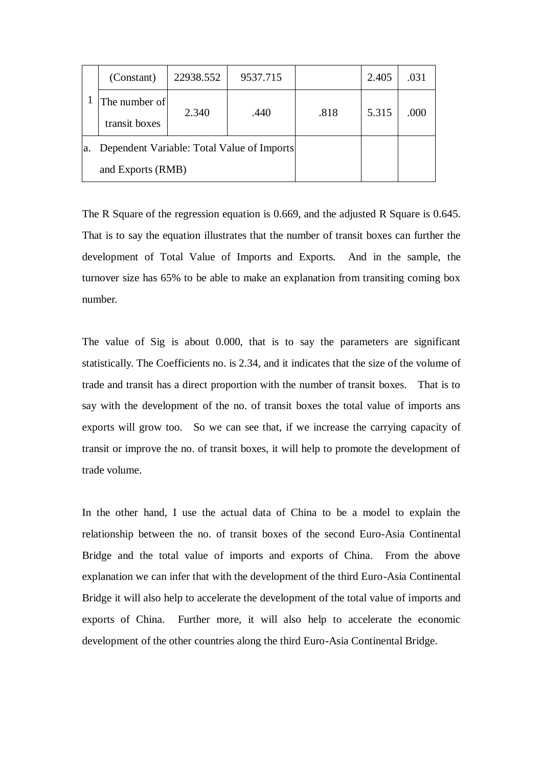|    | (Constant)                                 | 22938.552 | 9537.715 |      | 2.405 | .031 |
|----|--------------------------------------------|-----------|----------|------|-------|------|
|    | The number of                              |           |          |      |       |      |
|    | transit boxes                              | 2.340     | .440     | .818 | 5.315 | .000 |
| a. | Dependent Variable: Total Value of Imports |           |          |      |       |      |
|    | and Exports (RMB)                          |           |          |      |       |      |

The R Square of the regression equation is 0.669, and the adjusted R Square is 0.645. That is to say the equation illustrates that the number of transit boxes can further the development of Total Value of Imports and Exports. And in the sample, the turnover size has 65% to be able to make an explanation from transiting coming box number.

The value of Sig is about 0.000, that is to say the parameters are significant statistically. The Coefficients no. is 2.34, and it indicates that the size of the volume of trade and transit has a direct proportion with the number of transit boxes. That is to say with the development of the no. of transit boxes the total value of imports ans exports will grow too. So we can see that, if we increase the carrying capacity of transit or improve the no. of transit boxes, it will help to promote the development of trade volume.

In the other hand, I use the actual data of China to be a model to explain the relationship between the no. of transit boxes of the second Euro-Asia Continental Bridge and the total value of imports and exports of China. From the above explanation we can infer that with the development of the third Euro-Asia Continental Bridge it will also help to accelerate the development of the total value of imports and exports of China. Further more, it will also help to accelerate the economic development of the other countries along the third Euro-Asia Continental Bridge.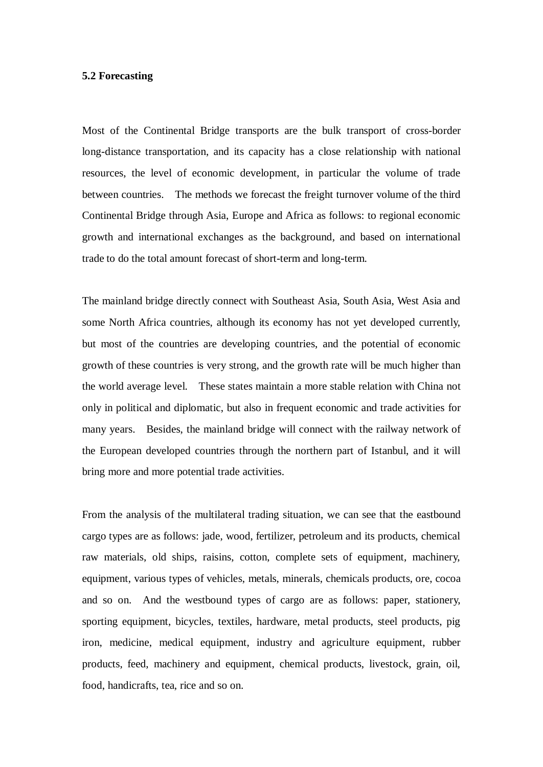#### **5.2 Forecasting**

Most of the Continental Bridge transports are the bulk transport of cross-border long-distance transportation, and its capacity has a close relationship with national resources, the level of economic development, in particular the volume of trade between countries. The methods we forecast the freight turnover volume of the third Continental Bridge through Asia, Europe and Africa as follows: to regional economic growth and international exchanges as the background, and based on international trade to do the total amount forecast of short-term and long-term.

The mainland bridge directly connect with Southeast Asia, South Asia, West Asia and some North Africa countries, although its economy has not yet developed currently, but most of the countries are developing countries, and the potential of economic growth of these countries is very strong, and the growth rate will be much higher than the world average level. These states maintain a more stable relation with China not only in political and diplomatic, but also in frequent economic and trade activities for many years. Besides, the mainland bridge will connect with the railway network of the European developed countries through the northern part of Istanbul, and it will bring more and more potential trade activities.

From the analysis of the multilateral trading situation, we can see that the eastbound cargo types are as follows: jade, wood, fertilizer, petroleum and its products, chemical raw materials, old ships, raisins, cotton, complete sets of equipment, machinery, equipment, various types of vehicles, metals, minerals, chemicals products, ore, cocoa and so on. And the westbound types of cargo are as follows: paper, stationery, sporting equipment, bicycles, textiles, hardware, metal products, steel products, pig iron, medicine, medical equipment, industry and agriculture equipment, rubber products, feed, machinery and equipment, chemical products, livestock, grain, oil, food, handicrafts, tea, rice and so on.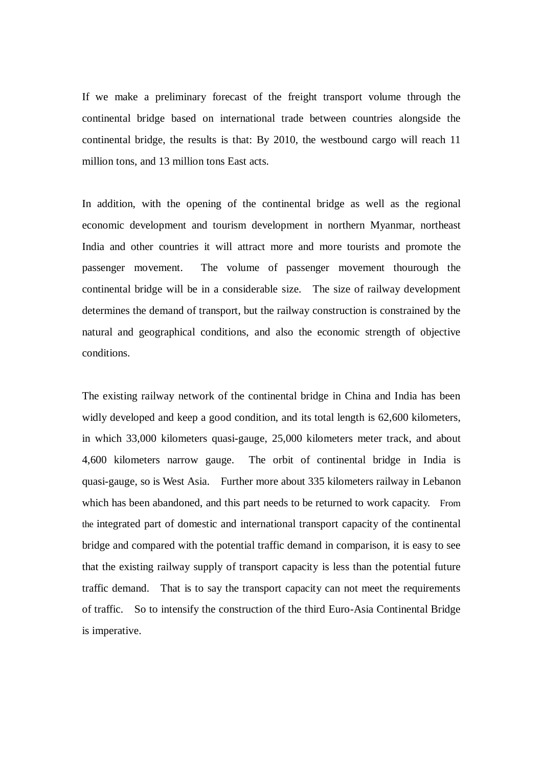If we make a preliminary forecast of the freight transport volume through the continental bridge based on international trade between countries alongside the continental bridge, the results is that: By 2010, the westbound cargo will reach 11 million tons, and 13 million tons East acts.

In addition, with the opening of the continental bridge as well as the regional economic development and tourism development in northern Myanmar, northeast India and other countries it will attract more and more tourists and promote the passenger movement. The volume of passenger movement thourough the continental bridge will be in a considerable size. The size of railway development determines the demand of transport, but the railway construction is constrained by the natural and geographical conditions, and also the economic strength of objective conditions.

The existing railway network of the continental bridge in China and India has been widly developed and keep a good condition, and its total length is 62,600 kilometers, in which 33,000 kilometers quasi-gauge, 25,000 kilometers meter track, and about 4,600 kilometers narrow gauge. The orbit of continental bridge in India is quasi-gauge, so is West Asia. Further more about 335 kilometers railway in Lebanon which has been abandoned, and this part needs to be returned to work capacity. From the integrated part of domestic and international transport capacity of the continental bridge and compared with the potential traffic demand in comparison, it is easy to see that the existing railway supply of transport capacity is less than the potential future traffic demand. That is to say the transport capacity can not meet the requirements of traffic. So to intensify the construction of the third Euro-Asia Continental Bridge is imperative.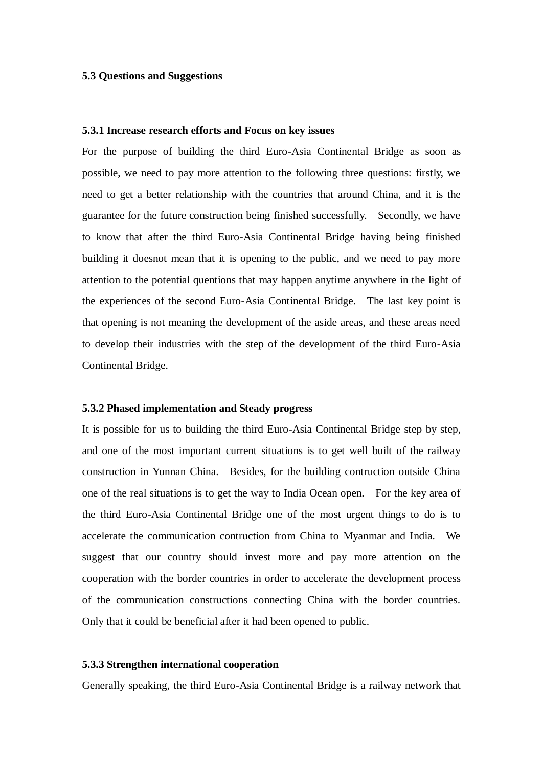### **5.3 Questions and Suggestions**

#### **5.3.1 Increase research efforts and Focus on key issues**

For the purpose of building the third Euro-Asia Continental Bridge as soon as possible, we need to pay more attention to the following three questions: firstly, we need to get a better relationship with the countries that around China, and it is the guarantee for the future construction being finished successfully. Secondly, we have to know that after the third Euro-Asia Continental Bridge having being finished building it doesnot mean that it is opening to the public, and we need to pay more attention to the potential quentions that may happen anytime anywhere in the light of the experiences of the second Euro-Asia Continental Bridge. The last key point is that opening is not meaning the development of the aside areas, and these areas need to develop their industries with the step of the development of the third Euro-Asia Continental Bridge.

## **5.3.2 Phased implementation and Steady progress**

It is possible for us to building the third Euro-Asia Continental Bridge step by step, and one of the most important current situations is to get well built of the railway construction in Yunnan China. Besides, for the building contruction outside China one of the real situations is to get the way to India Ocean open. For the key area of the third Euro-Asia Continental Bridge one of the most urgent things to do is to accelerate the communication contruction from China to Myanmar and India. We suggest that our country should invest more and pay more attention on the cooperation with the border countries in order to accelerate the development process of the communication constructions connecting China with the border countries. Only that it could be beneficial after it had been opened to public.

### **5.3.3 Strengthen international cooperation**

Generally speaking, the third Euro-Asia Continental Bridge is a railway network that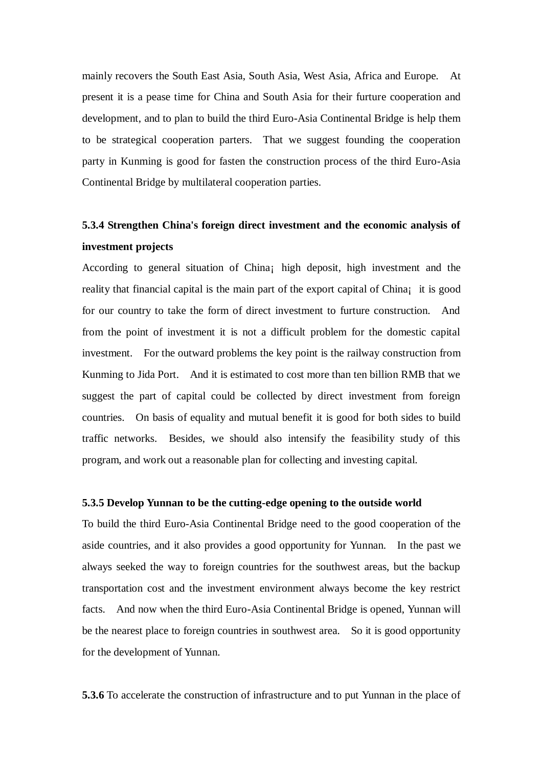mainly recovers the South East Asia, South Asia, West Asia, Africa and Europe. At present it is a pease time for China and South Asia for their furture cooperation and development, and to plan to build the third Euro-Asia Continental Bridge is help them to be strategical cooperation parters. That we suggest founding the cooperation party in Kunming is good for fasten the construction process of the third Euro-Asia Continental Bridge by multilateral cooperation parties.

# **5.3.4 Strengthen China's foreign direct investment and the economic analysis of investment projects**

According to general situation of China¡ high deposit, high investment and the reality that financial capital is the main part of the export capital of China; it is good for our country to take the form of direct investment to furture construction. And from the point of investment it is not a difficult problem for the domestic capital investment. For the outward problems the key point is the railway construction from Kunming to Jida Port. And it is estimated to cost more than ten billion RMB that we suggest the part of capital could be collected by direct investment from foreign countries. On basis of equality and mutual benefit it is good for both sides to build traffic networks. Besides, we should also intensify the feasibility study of this program, and work out a reasonable plan for collecting and investing capital.

#### **5.3.5 Develop Yunnan to be the cutting-edge opening to the outside world**

To build the third Euro-Asia Continental Bridge need to the good cooperation of the aside countries, and it also provides a good opportunity for Yunnan. In the past we always seeked the way to foreign countries for the southwest areas, but the backup transportation cost and the investment environment always become the key restrict facts. And now when the third Euro-Asia Continental Bridge is opened, Yunnan will be the nearest place to foreign countries in southwest area. So it is good opportunity for the development of Yunnan.

**5.3.6** To accelerate the construction of infrastructure and to put Yunnan in the place of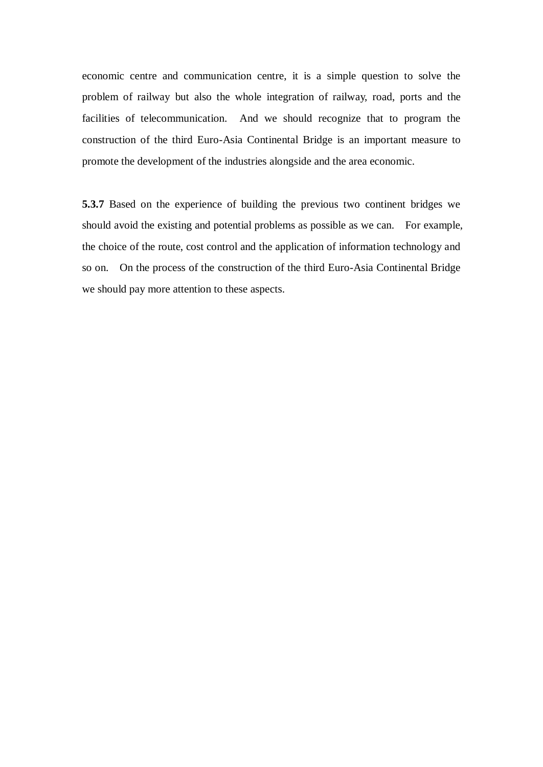economic centre and communication centre, it is a simple question to solve the problem of railway but also the whole integration of railway, road, ports and the facilities of telecommunication. And we should recognize that to program the construction of the third Euro-Asia Continental Bridge is an important measure to promote the development of the industries alongside and the area economic.

**5.3.7** Based on the experience of building the previous two continent bridges we should avoid the existing and potential problems as possible as we can. For example, the choice of the route, cost control and the application of information technology and so on. On the process of the construction of the third Euro-Asia Continental Bridge we should pay more attention to these aspects.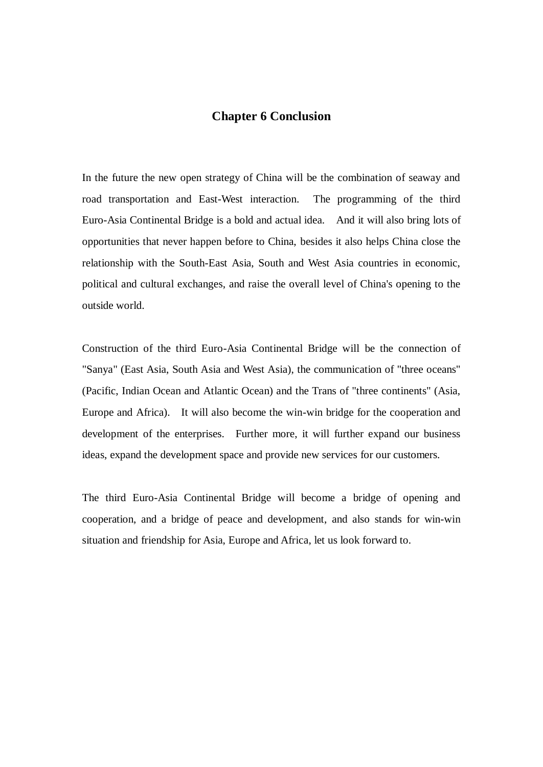# **Chapter 6 Conclusion**

In the future the new open strategy of China will be the combination of seaway and road transportation and East-West interaction. The programming of the third Euro-Asia Continental Bridge is a bold and actual idea. And it will also bring lots of opportunities that never happen before to China, besides it also helps China close the relationship with the South-East Asia, South and West Asia countries in economic, political and cultural exchanges, and raise the overall level of China's opening to the outside world.

Construction of the third Euro-Asia Continental Bridge will be the connection of "Sanya" (East Asia, South Asia and West Asia), the communication of "three oceans" (Pacific, Indian Ocean and Atlantic Ocean) and the Trans of "three continents" (Asia, Europe and Africa). It will also become the win-win bridge for the cooperation and development of the enterprises. Further more, it will further expand our business ideas, expand the development space and provide new services for our customers.

The third Euro-Asia Continental Bridge will become a bridge of opening and cooperation, and a bridge of peace and development, and also stands for win-win situation and friendship for Asia, Europe and Africa, let us look forward to.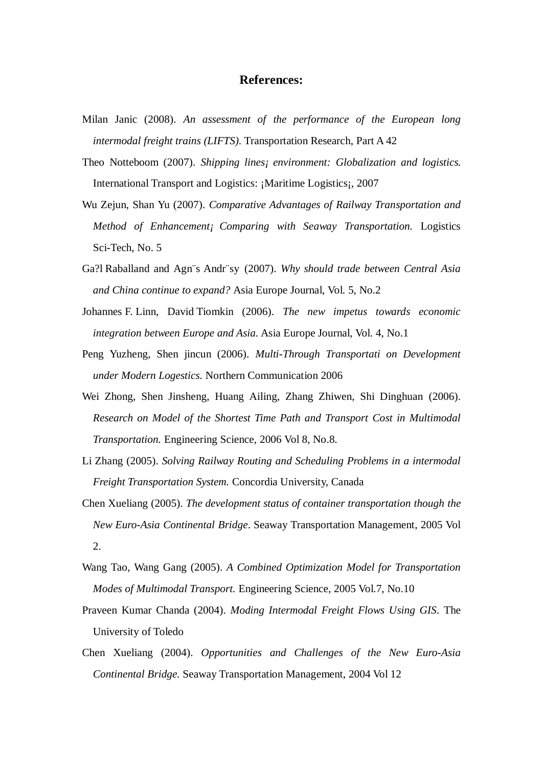# **References:**

- Milan Janic (2008). *An assessment of the performance of the European long intermodal freight trains (LIFTS).* Transportation Research, Part A 42
- Theo Notteboom (2007). *Shipping lines¡ environment: Globalization and logistics*. International Transport and Logistics: ¡Maritime Logistics¡, 2007
- Wu Zejun, Shan Yu (2007). *Comparative Advantages of Railway Transportation and Method of Enhancement¡ Comparing with Seaway Transportation.* Logistics Sci-Tech, No. 5
- Ga?l Raballand and Agn¨s Andr¨sy (2007). *Why should trade between Central Asia and China continue to expand?* Asia Europe Journal, Vol. 5, No.2
- Johannes F. Linn, David Tiomkin (2006). *The new impetus towards economic integration between Europe and Asia.* Asia Europe Journal, Vol. 4, No.1
- Peng Yuzheng, Shen jincun (2006). *Multi-Through Transportati on Development under Modern Logestics.* Northern Communication 2006
- Wei Zhong, Shen Jinsheng, Huang Ailing, Zhang Zhiwen, Shi Dinghuan (2006). *Research on Model of the Shortest Time Path and Transport Cost in Multimodal Transportation.* Engineering Science, 2006 Vol 8, No.8.
- Li Zhang (2005). *Solving Railway Routing and Scheduling Problems in a intermodal Freight Transportation System.* Concordia University, Canada
- Chen Xueliang (2005). *The development status of container transportation though the New Euro-Asia Continental Bridge*. Seaway Transportation Management, 2005 Vol 2.
- Wang Tao, Wang Gang (2005). *A Combined Optimization Model for Transportation Modes of Multimodal Transport.* Engineering Science, 2005 Vol.7, No.10
- Praveen Kumar Chanda (2004). *Moding Intermodal Freight Flows Using GIS*. The University of Toledo
- Chen Xueliang (2004). *Opportunities and Challenges of the New Euro-Asia Continental Bridge.* Seaway Transportation Management, 2004 Vol 12